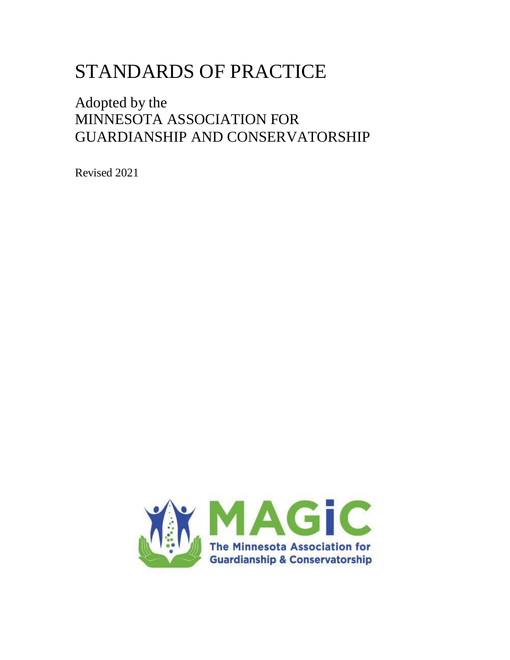# STANDARDS OF PRACTICE

# Adopted by the MINNESOTA ASSOCIATION FOR GUARDIANSHIP AND CONSERVATORSHIP

Revised 2021

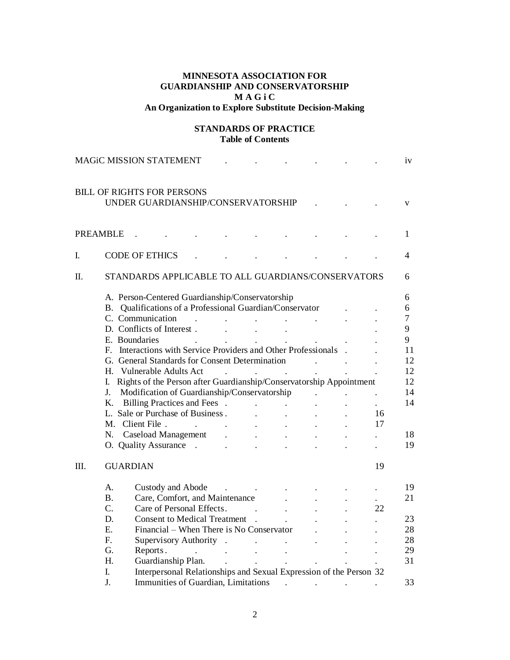#### **MINNESOTA ASSOCIATION FOR GUARDIANSHIP AND CONSERVATORSHIP M A G i C An Organization to Explore Substitute Decision-Making**

#### **STANDARDS OF PRACTICE Table of Contents**

|    |                                                                        | MAGIC MISSION STATEMENT                                                  |                          |                                                       |                               |                           |                      |                      |    | iv             |
|----|------------------------------------------------------------------------|--------------------------------------------------------------------------|--------------------------|-------------------------------------------------------|-------------------------------|---------------------------|----------------------|----------------------|----|----------------|
|    |                                                                        | <b>BILL OF RIGHTS FOR PERSONS</b>                                        |                          |                                                       |                               |                           |                      |                      |    |                |
|    |                                                                        | UNDER GUARDIANSHIP/CONSERVATORSHIP                                       |                          |                                                       |                               |                           |                      |                      |    | V              |
|    | PREAMBLE                                                               |                                                                          |                          |                                                       |                               |                           |                      |                      |    | 1              |
| I. |                                                                        | <b>CODE OF ETHICS</b>                                                    |                          |                                                       |                               |                           |                      |                      |    | 4              |
| П. | STANDARDS APPLICABLE TO ALL GUARDIANS/CONSERVATORS<br>6                |                                                                          |                          |                                                       |                               |                           |                      |                      |    |                |
|    | A. Person-Centered Guardianship/Conservatorship                        |                                                                          |                          |                                                       |                               |                           |                      |                      |    |                |
|    |                                                                        | B. Qualifications of a Professional Guardian/Conservator                 |                          |                                                       |                               |                           |                      |                      |    | 6              |
|    |                                                                        | C. Communication                                                         |                          |                                                       |                               | $\ddot{\phantom{a}}$      |                      |                      |    | $\overline{7}$ |
|    |                                                                        | D. Conflicts of Interest.                                                |                          |                                                       |                               |                           |                      |                      |    | 9              |
|    |                                                                        | E. Boundaries                                                            |                          |                                                       |                               |                           |                      |                      |    | 9              |
|    | F. Interactions with Service Providers and Other Professionals.        |                                                                          |                          |                                                       |                               |                           |                      |                      |    | 11             |
|    | G. General Standards for Consent Determination                         |                                                                          |                          |                                                       |                               |                           |                      |                      |    | 12             |
|    |                                                                        | H. Vulnerable Adults Act                                                 |                          |                                                       |                               |                           |                      |                      |    | 12             |
|    | I. Rights of the Person after Guardianship/Conservatorship Appointment |                                                                          |                          |                                                       |                               |                           |                      |                      |    | 12             |
|    | J.                                                                     | Modification of Guardianship/Conservatorship                             |                          |                                                       |                               |                           | $\ddot{\phantom{0}}$ |                      |    | 14             |
|    |                                                                        | K. Billing Practices and Fees.                                           |                          |                                                       | $\mathbf{L}$                  |                           |                      |                      |    | 14             |
|    |                                                                        | L. Sale or Purchase of Business.                                         |                          |                                                       | $\mathbf{r}$                  |                           |                      |                      | 16 |                |
|    |                                                                        | M. Client File.                                                          | <b>Contract Contract</b> |                                                       | $\mathbf{L}$                  |                           |                      |                      | 17 |                |
|    |                                                                        | N. Caseload Management                                                   |                          |                                                       | $\mathbf{r}$ and $\mathbf{r}$ |                           |                      |                      |    | 18             |
|    |                                                                        | O. Quality Assurance.                                                    |                          | <b><i>Committee State State State State State</i></b> | $\mathbf{L}$                  | $\ddot{\phantom{a}}$      |                      |                      |    | 19             |
|    |                                                                        |                                                                          |                          |                                                       |                               |                           |                      |                      |    |                |
| Ш. | <b>GUARDIAN</b>                                                        |                                                                          |                          |                                                       |                               |                           |                      |                      | 19 |                |
|    | A.                                                                     | Custody and Abode                                                        |                          | $\ddot{\phantom{a}}$                                  | $\sim 10^{-10}$               |                           |                      |                      |    | 19             |
|    | <b>B.</b>                                                              | Care, Comfort, and Maintenance                                           |                          |                                                       |                               | $\mathbf{L}^{\text{max}}$ |                      |                      |    | 21             |
|    | C.                                                                     | Care of Personal Effects.                                                |                          |                                                       | $\sim 10$                     | $\mathbf{L}$              |                      |                      | 22 |                |
|    | D.                                                                     | Consent to Medical Treatment.                                            |                          |                                                       |                               |                           |                      |                      |    | 23             |
|    | Ε.                                                                     | Financial – When There is No Conservator                                 |                          |                                                       |                               |                           |                      |                      |    | 28             |
|    | F.                                                                     | Supervisory Authority . The contract of the supervisory Authority .      |                          |                                                       |                               |                           |                      |                      |    | 28             |
|    | G.                                                                     | Reports.                                                                 |                          | $\sim 10$                                             |                               | $\sim 10$                 |                      |                      |    | 29             |
|    | $H_{\cdot}$                                                            | Guardianship Plan.                                                       |                          | $\mathbf{r}$                                          | $\mathbf{L}$                  | <b>Contract Contract</b>  |                      | $\ddot{\phantom{a}}$ |    | 31             |
|    |                                                                        | Interpersonal Relationships and Sexual Expression of the Person 32<br>I. |                          |                                                       |                               |                           |                      |                      |    |                |
|    | $\mathbf{J}$ .                                                         | Immunities of Guardian, Limitations<br>33<br>$\ddot{\phantom{0}}$        |                          |                                                       |                               |                           |                      |                      |    |                |
|    |                                                                        |                                                                          |                          |                                                       |                               |                           |                      |                      |    |                |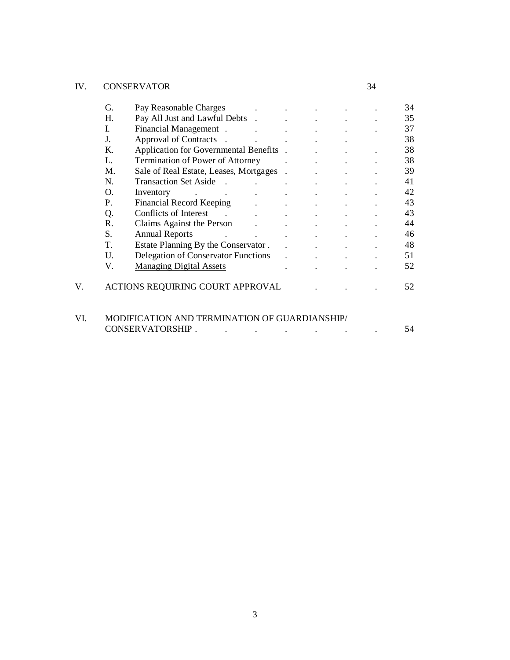### IV. CONSERVATOR 34

|     | G.             | Pay Reasonable Charges                                                                       |                                   |                           |                           | 34 |
|-----|----------------|----------------------------------------------------------------------------------------------|-----------------------------------|---------------------------|---------------------------|----|
|     | Н.             | Pay All Just and Lawful Debts .                                                              |                                   |                           |                           | 35 |
|     | L.             | Financial Management.                                                                        | $\mathbf{L}$                      |                           | $\ddot{\phantom{a}}$      | 37 |
|     | J.             | Approval of Contracts .<br>$\ddot{\phantom{a}}$                                              | <b>Contract Contract Contract</b> |                           |                           | 38 |
|     | K.             | Application for Governmental Benefits .                                                      |                                   |                           |                           | 38 |
|     | L.             | Termination of Power of Attorney                                                             |                                   |                           |                           | 38 |
|     | M.             | Sale of Real Estate, Leases, Mortgages.                                                      |                                   |                           |                           | 39 |
|     | N.             | Transaction Set Aside.                                                                       | $\ddot{\phantom{a}}$              |                           |                           | 41 |
|     | Ω.             | Inventory<br>the contract of the contract of the contract of the contract of the contract of |                                   |                           |                           | 42 |
|     | Ρ.             | <b>Financial Record Keeping</b>                                                              |                                   |                           |                           | 43 |
|     | Q.             | Conflicts of Interest.<br>$\mathbf{L}$                                                       | $\mathbf{L}^{\mathbf{r}}$         |                           |                           | 43 |
|     | $\mathbf{R}$ . | Claims Against the Person                                                                    | $\mathbf{L}^{\text{max}}$         |                           |                           | 44 |
|     | S.             | <b>Annual Reports</b><br><b>Contract Contract Contract</b><br>$\mathbf{L}$                   | $\ddot{\phantom{a}}$              |                           |                           | 46 |
|     | T.             | Estate Planning By the Conservator.                                                          |                                   | $\mathbf{L}^{\text{max}}$ | $\mathbf{L}^{\text{max}}$ | 48 |
|     | U.             | <b>Delegation of Conservator Functions</b>                                                   |                                   |                           |                           | 51 |
|     | V.             | <b>Managing Digital Assets</b>                                                               |                                   |                           |                           | 52 |
| V.  |                | ACTIONS REQUIRING COURT APPROVAL                                                             |                                   |                           |                           | 52 |
| VI. |                | MODIFICATION AND TERMINATION OF GUARDIANSHIP/                                                |                                   |                           |                           |    |
|     |                | CONSERVATORSHIP.                                                                             |                                   |                           |                           | 54 |
|     |                |                                                                                              |                                   |                           |                           |    |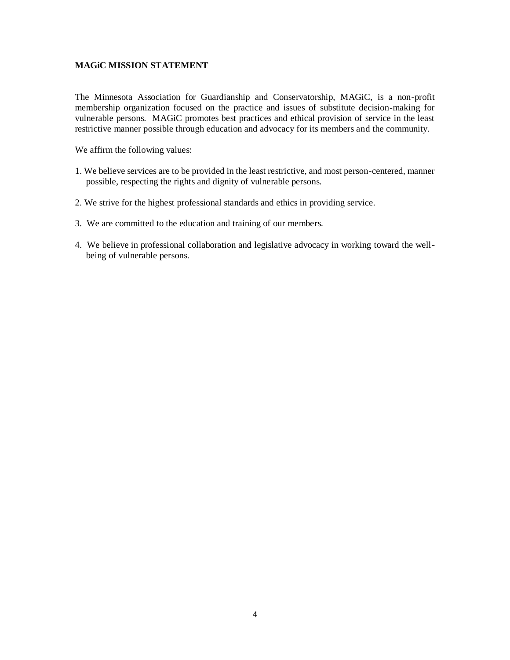#### **MAGiC MISSION STATEMENT**

The Minnesota Association for Guardianship and Conservatorship, MAGiC, is a non-profit membership organization focused on the practice and issues of substitute decision-making for vulnerable persons. MAGiC promotes best practices and ethical provision of service in the least restrictive manner possible through education and advocacy for its members and the community.

We affirm the following values:

- 1. We believe services are to be provided in the least restrictive, and most person-centered, manner possible, respecting the rights and dignity of vulnerable persons.
- 2. We strive for the highest professional standards and ethics in providing service.
- 3. We are committed to the education and training of our members.
- 4. We believe in professional collaboration and legislative advocacy in working toward the wellbeing of vulnerable persons.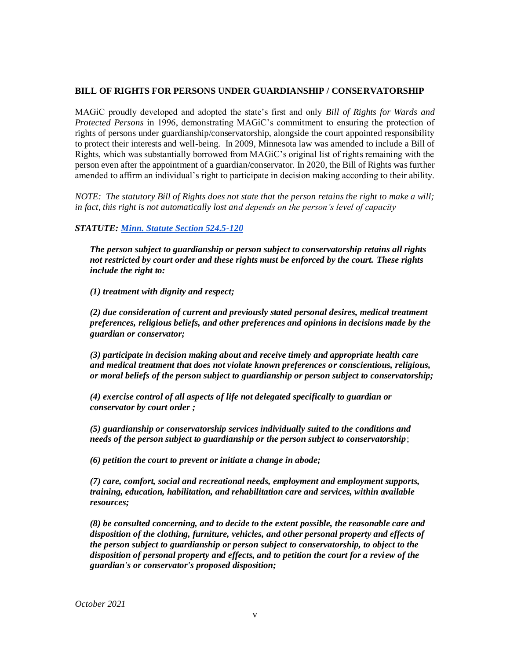#### **BILL OF RIGHTS FOR PERSONS UNDER GUARDIANSHIP / CONSERVATORSHIP**

MAGiC proudly developed and adopted the state's first and only *Bill of Rights for Wards and Protected Persons* in 1996, demonstrating MAGiC's commitment to ensuring the protection of rights of persons under guardianship/conservatorship, alongside the court appointed responsibility to protect their interests and well-being. In 2009, Minnesota law was amended to include a Bill of Rights, which was substantially borrowed from MAGiC's original list of rights remaining with the person even after the appointment of a guardian/conservator. In 2020, the Bill of Rights was further amended to affirm an individual's right to participate in decision making according to their ability.

*NOTE: The statutory Bill of Rights does not state that the person retains the right to make a will; in fact, this right is not automatically lost and depends on the person's level of capacity* 

#### *STATUTE: [Minn. Statute Section 524.5-120](https://www.revisor.mn.gov/statutes/cite/524.5-120)*

*The person subject to guardianship or person subject to conservatorship retains all rights not restricted by court order and these rights must be enforced by the court. These rights include the right to:*

*(1) treatment with dignity and respect;*

*(2) due consideration of current and previously stated personal desires, medical treatment preferences, religious beliefs, and other preferences and opinions in decisions made by the guardian or conservator;*

*(3) participate in decision making about and receive timely and appropriate health care and medical treatment that does not violate known preferences or conscientious, religious, or moral beliefs of the person subject to guardianship or person subject to conservatorship;*

*(4) exercise control of all aspects of life not delegated specifically to guardian or conservator by court order ;*

*(5) guardianship or conservatorship services individually suited to the conditions and needs of the person subject to guardianship or the person subject to conservatorship*;

*(6) petition the court to prevent or initiate a change in abode;* 

*(7) care, comfort, social and recreational needs, employment and employment supports, training, education, habilitation, and rehabilitation care and services, within available resources;* 

*(8) be consulted concerning, and to decide to the extent possible, the reasonable care and disposition of the clothing, furniture, vehicles, and other personal property and effects of the person subject to guardianship or person subject to conservatorship, to object to the disposition of personal property and effects, and to petition the court for a review of the guardian's or conservator's proposed disposition;*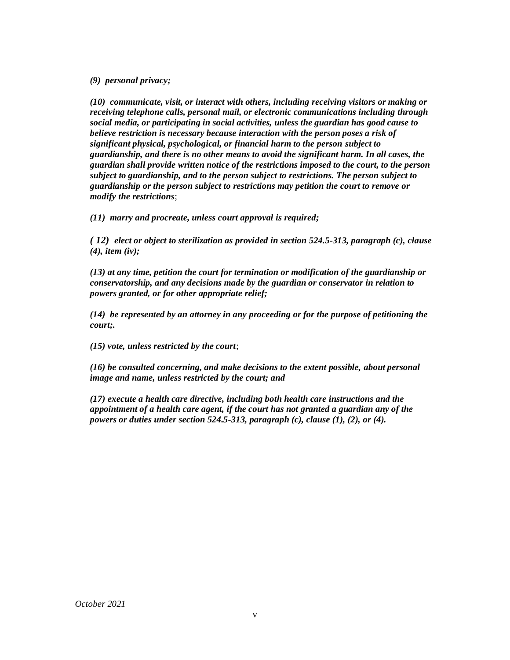*(9) personal privacy;* 

*(10) communicate, visit, or interact with others, including receiving visitors or making or receiving telephone calls, personal mail, or electronic communications including through social media, or participating in social activities, unless the guardian has good cause to believe restriction is necessary because interaction with the person poses a risk of significant physical, psychological, or financial harm to the person subject to guardianship, and there is no other means to avoid the significant harm. In all cases, the guardian shall provide written notice of the restrictions imposed to the court, to the person subject to guardianship, and to the person subject to restrictions. The person subject to guardianship or the person subject to restrictions may petition the court to remove or modify the restrictions*;

*(11) marry and procreate, unless court approval is required;*

*( 12) elect or object to sterilization as provided in section 524.5-313, paragraph (c), clause (4), item (iv);*

*(13) at any time, petition the court for termination or modification of the guardianship or conservatorship, and any decisions made by the guardian or conservator in relation to powers granted, or for other appropriate relief;*

*(14) be represented by an attorney in any proceeding or for the purpose of petitioning the court;.*

*(15) vote, unless restricted by the court*;

*(16) be consulted concerning, and make decisions to the extent possible, about personal image and name, unless restricted by the court; and*

*(17) execute a health care directive, including both health care instructions and the appointment of a health care agent, if the court has not granted a guardian any of the powers or duties under section 524.5-313, paragraph (c), clause (1), (2), or (4).*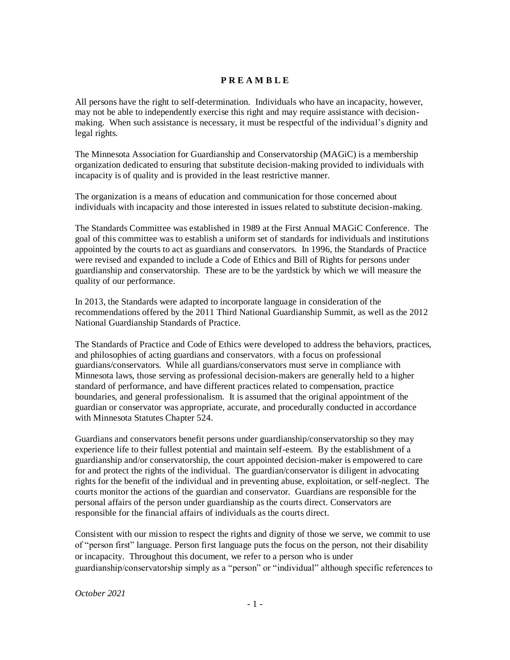#### **P R E A M B L E**

All persons have the right to self-determination. Individuals who have an incapacity, however, may not be able to independently exercise this right and may require assistance with decisionmaking. When such assistance is necessary, it must be respectful of the individual's dignity and legal rights.

The Minnesota Association for Guardianship and Conservatorship (MAGiC) is a membership organization dedicated to ensuring that substitute decision-making provided to individuals with incapacity is of quality and is provided in the least restrictive manner.

The organization is a means of education and communication for those concerned about individuals with incapacity and those interested in issues related to substitute decision-making.

The Standards Committee was established in 1989 at the First Annual MAGiC Conference. The goal of this committee was to establish a uniform set of standards for individuals and institutions appointed by the courts to act as guardians and conservators. In 1996, the Standards of Practice were revised and expanded to include a Code of Ethics and Bill of Rights for persons under guardianship and conservatorship. These are to be the yardstick by which we will measure the quality of our performance.

In 2013, the Standards were adapted to incorporate language in consideration of the recommendations offered by the 2011 Third National Guardianship Summit, as well as the 2012 National Guardianship Standards of Practice.

The Standards of Practice and Code of Ethics were developed to address the behaviors, practices, and philosophies of acting guardians and conservators*,* with a focus on professional guardians/conservators. While all guardians/conservators must serve in compliance with Minnesota laws, those serving as professional decision-makers are generally held to a higher standard of performance, and have different practices related to compensation, practice boundaries, and general professionalism. It is assumed that the original appointment of the guardian or conservator was appropriate, accurate, and procedurally conducted in accordance with Minnesota Statutes Chapter 524.

Guardians and conservators benefit persons under guardianship/conservatorship so they may experience life to their fullest potential and maintain self-esteem. By the establishment of a guardianship and/or conservatorship, the court appointed decision-maker is empowered to care for and protect the rights of the individual. The guardian/conservator is diligent in advocating rights for the benefit of the individual and in preventing abuse, exploitation, or self-neglect. The courts monitor the actions of the guardian and conservator. Guardians are responsible for the personal affairs of the person under guardianship as the courts direct. Conservators are responsible for the financial affairs of individuals as the courts direct.

Consistent with our mission to respect the rights and dignity of those we serve, we commit to use of "person first" language. Person first language puts the focus on the person, not their disability or incapacity. Throughout this document, we refer to a person who is under guardianship/conservatorship simply as a "person" or "individual" although specific references to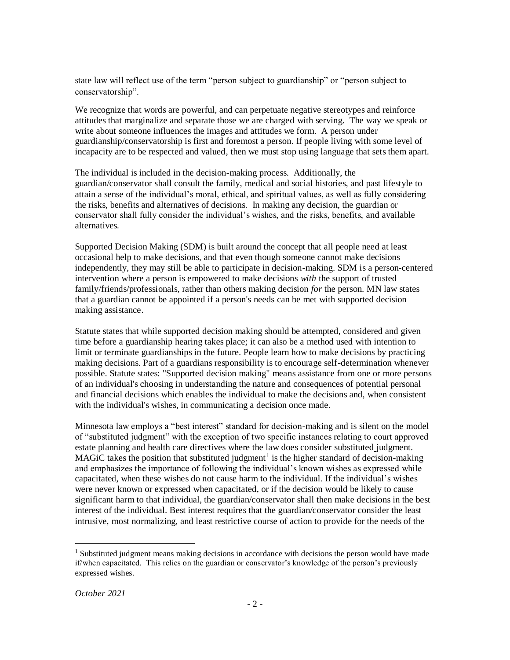state law will reflect use of the term "person subject to guardianship" or "person subject to conservatorship".

We recognize that words are powerful, and can perpetuate negative stereotypes and reinforce attitudes that marginalize and separate those we are charged with serving. The way we speak or write about someone influences the images and attitudes we form. A person under guardianship/conservatorship is first and foremost a person. If people living with some level of incapacity are to be respected and valued, then we must stop using language that sets them apart.

The individual is included in the decision-making process. Additionally, the guardian/conservator shall consult the family, medical and social histories, and past lifestyle to attain a sense of the individual's moral, ethical, and spiritual values, as well as fully considering the risks, benefits and alternatives of decisions. In making any decision, the guardian or conservator shall fully consider the individual's wishes, and the risks, benefits, and available alternatives.

Supported Decision Making (SDM) is built around the concept that all people need at least occasional help to make decisions, and that even though someone cannot make decisions independently, they may still be able to participate in decision-making. SDM is a person-centered intervention where a person is empowered to make decisions *with* the support of trusted family/friends/professionals, rather than others making decision *for* the person. MN law states that a guardian cannot be appointed if a person's needs can be met with supported decision making assistance.

Statute states that while supported decision making should be attempted, considered and given time before a guardianship hearing takes place; it can also be a method used with intention to limit or terminate guardianships in the future. People learn how to make decisions by practicing making decisions. Part of a guardians responsibility is to encourage self-determination whenever possible. Statute states: "Supported decision making" means assistance from one or more persons of an individual's choosing in understanding the nature and consequences of potential personal and financial decisions which enables the individual to make the decisions and, when consistent with the individual's wishes, in communicating a decision once made.

Minnesota law employs a "best interest" standard for decision-making and is silent on the model of "substituted judgment" with the exception of two specific instances relating to court approved estate planning and health care directives where the law does consider substituted judgment. MAGiC takes the position that substituted judgment<sup>1</sup> is the higher standard of decision-making and emphasizes the importance of following the individual's known wishes as expressed while capacitated, when these wishes do not cause harm to the individual. If the individual's wishes were never known or expressed when capacitated, or if the decision would be likely to cause significant harm to that individual, the guardian/conservator shall then make decisions in the best interest of the individual. Best interest requires that the guardian/conservator consider the least intrusive, most normalizing, and least restrictive course of action to provide for the needs of the

l

<sup>&</sup>lt;sup>1</sup> Substituted judgment means making decisions in accordance with decisions the person would have made if/when capacitated. This relies on the guardian or conservator's knowledge of the person's previously expressed wishes.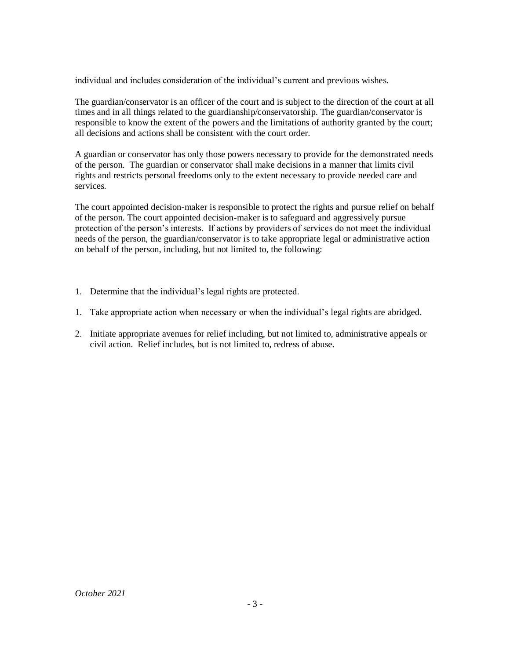individual and includes consideration of the individual's current and previous wishes.

The guardian/conservator is an officer of the court and is subject to the direction of the court at all times and in all things related to the guardianship/conservatorship. The guardian/conservator is responsible to know the extent of the powers and the limitations of authority granted by the court; all decisions and actions shall be consistent with the court order.

A guardian or conservator has only those powers necessary to provide for the demonstrated needs of the person. The guardian or conservator shall make decisions in a manner that limits civil rights and restricts personal freedoms only to the extent necessary to provide needed care and services.

The court appointed decision-maker is responsible to protect the rights and pursue relief on behalf of the person. The court appointed decision-maker is to safeguard and aggressively pursue protection of the person's interests. If actions by providers of services do not meet the individual needs of the person, the guardian/conservator is to take appropriate legal or administrative action on behalf of the person, including, but not limited to, the following:

- 1. Determine that the individual's legal rights are protected.
- 1. Take appropriate action when necessary or when the individual's legal rights are abridged.
- 2. Initiate appropriate avenues for relief including, but not limited to, administrative appeals or civil action. Relief includes, but is not limited to, redress of abuse.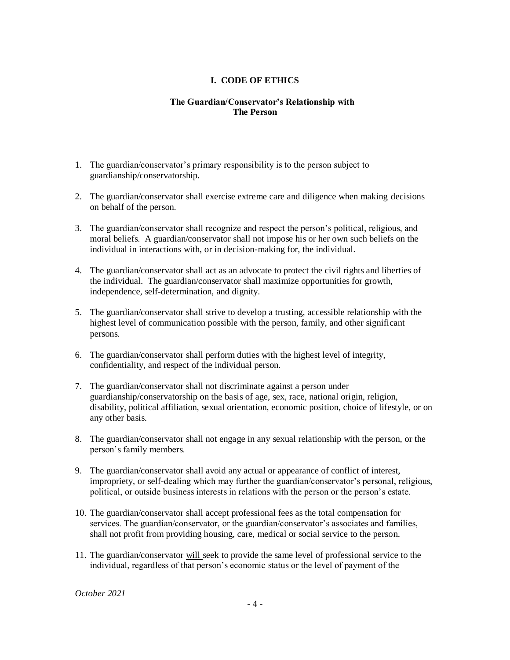#### **I. CODE OF ETHICS**

#### **The Guardian/Conservator's Relationship with The Person**

- 1. The guardian/conservator's primary responsibility is to the person subject to guardianship/conservatorship.
- 2. The guardian/conservator shall exercise extreme care and diligence when making decisions on behalf of the person.
- 3. The guardian/conservator shall recognize and respect the person's political, religious, and moral beliefs. A guardian/conservator shall not impose his or her own such beliefs on the individual in interactions with, or in decision-making for, the individual.
- 4. The guardian/conservator shall act as an advocate to protect the civil rights and liberties of the individual. The guardian/conservator shall maximize opportunities for growth, independence, self-determination, and dignity.
- 5. The guardian/conservator shall strive to develop a trusting, accessible relationship with the highest level of communication possible with the person, family, and other significant persons.
- 6. The guardian/conservator shall perform duties with the highest level of integrity, confidentiality, and respect of the individual person.
- 7. The guardian/conservator shall not discriminate against a person under guardianship/conservatorship on the basis of age, sex, race, national origin, religion, disability, political affiliation, sexual orientation, economic position, choice of lifestyle, or on any other basis.
- 8. The guardian/conservator shall not engage in any sexual relationship with the person, or the person's family members.
- 9. The guardian/conservator shall avoid any actual or appearance of conflict of interest, impropriety, or self-dealing which may further the guardian/conservator's personal, religious, political, or outside business interests in relations with the person or the person's estate.
- 10. The guardian/conservator shall accept professional fees as the total compensation for services. The guardian/conservator, or the guardian/conservator's associates and families, shall not profit from providing housing, care, medical or social service to the person.
- 11. The guardian/conservator will seek to provide the same level of professional service to the individual, regardless of that person's economic status or the level of payment of the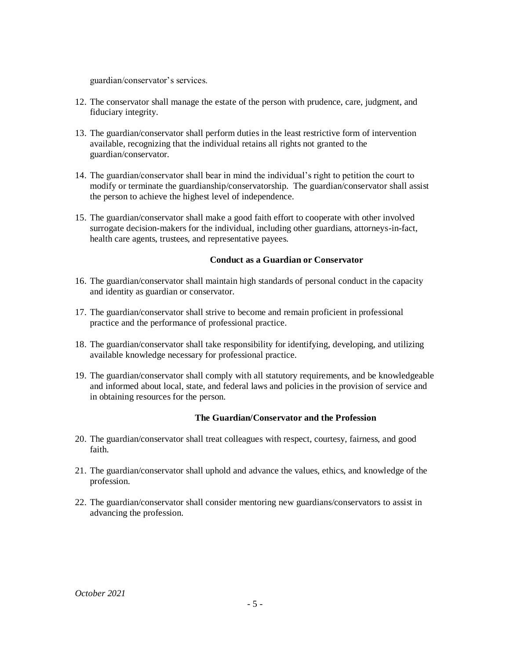guardian/conservator's services.

- 12. The conservator shall manage the estate of the person with prudence, care, judgment, and fiduciary integrity.
- 13. The guardian/conservator shall perform duties in the least restrictive form of intervention available, recognizing that the individual retains all rights not granted to the guardian/conservator.
- 14. The guardian/conservator shall bear in mind the individual's right to petition the court to modify or terminate the guardianship/conservatorship. The guardian/conservator shall assist the person to achieve the highest level of independence.
- 15. The guardian/conservator shall make a good faith effort to cooperate with other involved surrogate decision-makers for the individual, including other guardians, attorneys-in-fact, health care agents, trustees, and representative payees.

#### **Conduct as a Guardian or Conservator**

- 16. The guardian/conservator shall maintain high standards of personal conduct in the capacity and identity as guardian or conservator.
- 17. The guardian/conservator shall strive to become and remain proficient in professional practice and the performance of professional practice.
- 18. The guardian/conservator shall take responsibility for identifying, developing, and utilizing available knowledge necessary for professional practice.
- 19. The guardian/conservator shall comply with all statutory requirements, and be knowledgeable and informed about local, state, and federal laws and policies in the provision of service and in obtaining resources for the person.

#### **The Guardian/Conservator and the Profession**

- 20. The guardian/conservator shall treat colleagues with respect, courtesy, fairness, and good faith.
- 21. The guardian/conservator shall uphold and advance the values, ethics, and knowledge of the profession.
- 22. The guardian/conservator shall consider mentoring new guardians/conservators to assist in advancing the profession.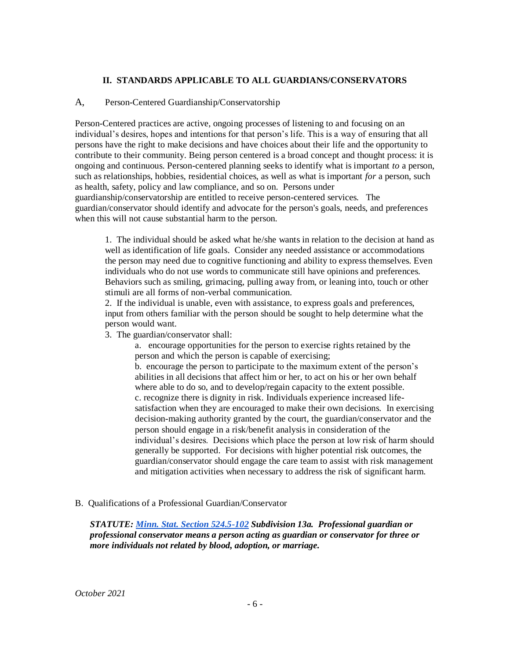#### **II. STANDARDS APPLICABLE TO ALL GUARDIANS/CONSERVATORS**

#### A, Person-Centered Guardianship/Conservatorship

Person-Centered practices are active, ongoing processes of listening to and focusing on an individual's desires, hopes and intentions for that person's life. This is a way of ensuring that all persons have the right to make decisions and have choices about their life and the opportunity to contribute to their community. Being person centered is a broad concept and thought process: it is ongoing and continuous. Person-centered planning seeks to identify what is important *to* a person, such as relationships, hobbies, residential choices, as well as what is important *for* a person, such as health, safety, policy and law compliance, and so on. Persons under guardianship/conservatorship are entitled to receive person-centered services. The guardian/conservator should identify and advocate for the person's goals, needs, and preferences when this will not cause substantial harm to the person.

1. The individual should be asked what he/she wants in relation to the decision at hand as well as identification of life goals. Consider any needed assistance or accommodations the person may need due to cognitive functioning and ability to express themselves. Even individuals who do not use words to communicate still have opinions and preferences. Behaviors such as smiling, grimacing, pulling away from, or leaning into, touch or other stimuli are all forms of non-verbal communication.

2. If the individual is unable, even with assistance, to express goals and preferences, input from others familiar with the person should be sought to help determine what the person would want.

3. The guardian/conservator shall:

a. encourage opportunities for the person to exercise rights retained by the person and which the person is capable of exercising;

b. encourage the person to participate to the maximum extent of the person's abilities in all decisions that affect him or her, to act on his or her own behalf where able to do so, and to develop/regain capacity to the extent possible. c. recognize there is dignity in risk. Individuals experience increased lifesatisfaction when they are encouraged to make their own decisions. In exercising decision-making authority granted by the court, the guardian/conservator and the person should engage in a risk/benefit analysis in consideration of the individual's desires. Decisions which place the person at low risk of harm should generally be supported. For decisions with higher potential risk outcomes, the guardian/conservator should engage the care team to assist with risk management and mitigation activities when necessary to address the risk of significant harm.

B. Qualifications of a Professional Guardian/Conservator

*STATUTE: [Minn. Stat. Section 524.5-102](https://www.revisor.mn.gov/statutes/cite/524.5-102) Subdivision 13a. Professional guardian or professional conservator means a person acting as guardian or conservator for three or more individuals not related by blood, adoption, or marriage.*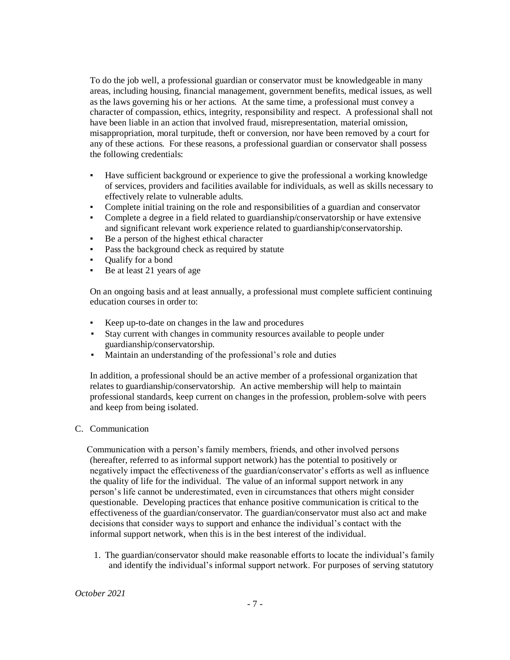To do the job well, a professional guardian or conservator must be knowledgeable in many areas, including housing, financial management, government benefits, medical issues, as well as the laws governing his or her actions. At the same time, a professional must convey a character of compassion, ethics, integrity, responsibility and respect. A professional shall not have been liable in an action that involved fraud, misrepresentation, material omission, misappropriation, moral turpitude, theft or conversion, nor have been removed by a court for any of these actions. For these reasons, a professional guardian or conservator shall possess the following credentials:

- Have sufficient background or experience to give the professional a working knowledge of services, providers and facilities available for individuals, as well as skills necessary to effectively relate to vulnerable adults.
- Complete initial training on the role and responsibilities of a guardian and conservator
- Complete a degree in a field related to guardianship/conservatorship or have extensive and significant relevant work experience related to guardianship/conservatorship.
- Be a person of the highest ethical character
- Pass the background check as required by statute
- Qualify for a bond
- Be at least 21 years of age

On an ongoing basis and at least annually, a professional must complete sufficient continuing education courses in order to:

- Keep up-to-date on changes in the law and procedures
- Stay current with changes in community resources available to people under guardianship/conservatorship.
- Maintain an understanding of the professional's role and duties

In addition, a professional should be an active member of a professional organization that relates to guardianship/conservatorship. An active membership will help to maintain professional standards, keep current on changes in the profession, problem-solve with peers and keep from being isolated.

#### C. Communication

 Communication with a person's family members, friends, and other involved persons (hereafter, referred to as informal support network) has the potential to positively or negatively impact the effectiveness of the guardian/conservator's efforts as well as influence the quality of life for the individual. The value of an informal support network in any person's life cannot be underestimated, even in circumstances that others might consider questionable. Developing practices that enhance positive communication is critical to the effectiveness of the guardian/conservator. The guardian/conservator must also act and make decisions that consider ways to support and enhance the individual's contact with the informal support network, when this is in the best interest of the individual.

1. The guardian/conservator should make reasonable efforts to locate the individual's family and identify the individual's informal support network. For purposes of serving statutory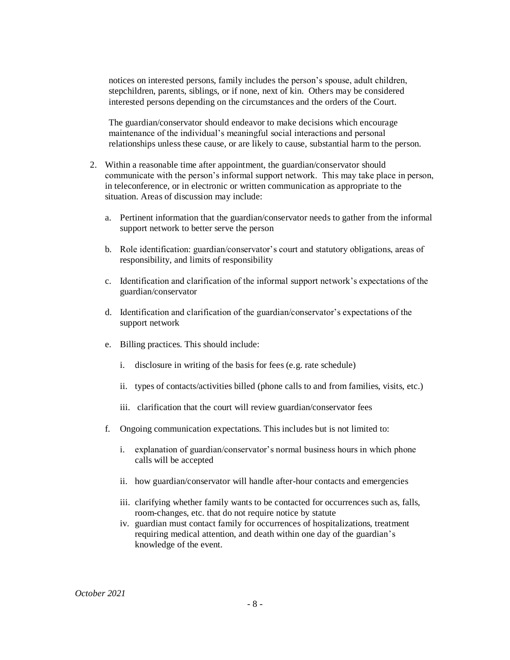notices on interested persons, family includes the person's spouse, adult children, stepchildren, parents, siblings, or if none, next of kin. Others may be considered interested persons depending on the circumstances and the orders of the Court.

The guardian/conservator should endeavor to make decisions which encourage maintenance of the individual's meaningful social interactions and personal relationships unless these cause, or are likely to cause, substantial harm to the person.

- 2. Within a reasonable time after appointment, the guardian/conservator should communicate with the person's informal support network. This may take place in person, in teleconference, or in electronic or written communication as appropriate to the situation. Areas of discussion may include:
	- a. Pertinent information that the guardian/conservator needs to gather from the informal support network to better serve the person
	- b. Role identification: guardian/conservator's court and statutory obligations, areas of responsibility, and limits of responsibility
	- c. Identification and clarification of the informal support network's expectations of the guardian/conservator
	- d. Identification and clarification of the guardian/conservator's expectations of the support network
	- e. Billing practices. This should include:
		- i. disclosure in writing of the basis for fees (e.g. rate schedule)
		- ii. types of contacts/activities billed (phone calls to and from families, visits, etc.)
		- iii. clarification that the court will review guardian/conservator fees
	- f. Ongoing communication expectations. This includes but is not limited to:
		- i. explanation of guardian/conservator's normal business hours in which phone calls will be accepted
		- ii. how guardian/conservator will handle after-hour contacts and emergencies
		- iii. clarifying whether family wants to be contacted for occurrences such as, falls, room-changes, etc. that do not require notice by statute
		- iv. guardian must contact family for occurrences of hospitalizations, treatment requiring medical attention, and death within one day of the guardian's knowledge of the event.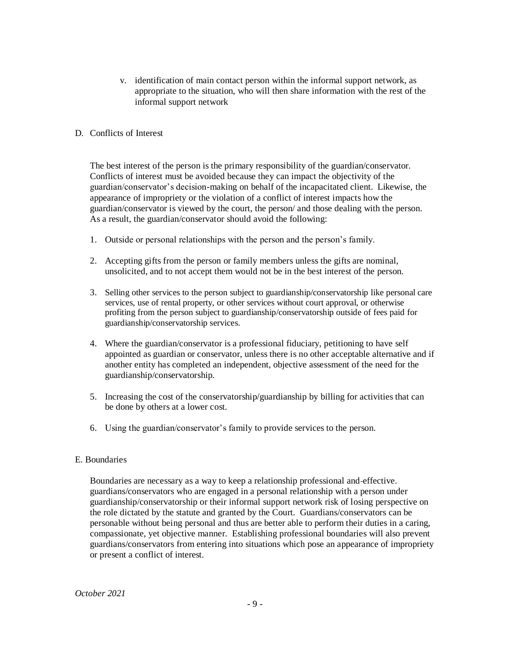- v. identification of main contact person within the informal support network, as appropriate to the situation, who will then share information with the rest of the informal support network
- D. Conflicts of Interest

The best interest of the person is the primary responsibility of the guardian/conservator. Conflicts of interest must be avoided because they can impact the objectivity of the guardian/conservator's decision-making on behalf of the incapacitated client. Likewise, the appearance of impropriety or the violation of a conflict of interest impacts how the guardian/conservator is viewed by the court, the person/ and those dealing with the person. As a result, the guardian/conservator should avoid the following:

- 1. Outside or personal relationships with the person and the person's family.
- 2. Accepting gifts from the person or family members unless the gifts are nominal, unsolicited, and to not accept them would not be in the best interest of the person.
- 3. Selling other services to the person subject to guardianship/conservatorship like personal care services, use of rental property, or other services without court approval, or otherwise profiting from the person subject to guardianship/conservatorship outside of fees paid for guardianship/conservatorship services.
- 4. Where the guardian/conservator is a professional fiduciary, petitioning to have self appointed as guardian or conservator, unless there is no other acceptable alternative and if another entity has completed an independent, objective assessment of the need for the guardianship/conservatorship*.*
- 5. Increasing the cost of the conservatorship/guardianship by billing for activities that can be done by others at a lower cost.
- 6. Using the guardian/conservator's family to provide services to the person.

#### E. Boundaries

Boundaries are necessary as a way to keep a relationship professional and effective. guardians/conservators who are engaged in a personal relationship with a person under guardianship/conservatorship or their informal support network risk of losing perspective on the role dictated by the statute and granted by the Court. Guardians/conservators can be personable without being personal and thus are better able to perform their duties in a caring, compassionate, yet objective manner. Establishing professional boundaries will also prevent guardians/conservators from entering into situations which pose an appearance of impropriety or present a conflict of interest.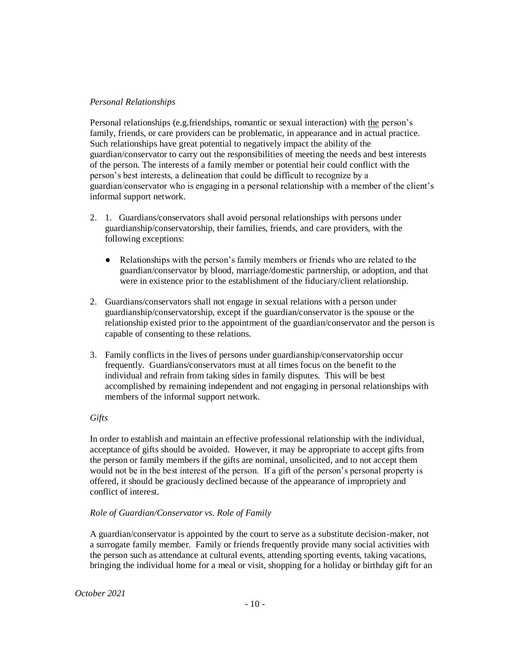#### *Personal Relationships*

Personal relationships (e.g.friendships, romantic or sexual interaction) with the person's family, friends, or care providers can be problematic, in appearance and in actual practice. Such relationships have great potential to negatively impact the ability of the guardian/conservator to carry out the responsibilities of meeting the needs and best interests of the person. The interests of a family member or potential heir could conflict with the person's best interests, a delineation that could be difficult to recognize by a guardian/conservator who is engaging in a personal relationship with a member of the client's informal support network.

- 2. 1. Guardians/conservators shall avoid personal relationships with persons under guardianship/conservatorship, their families, friends, and care providers, with the following exceptions:
	- Relationships with the person's family members or friends who are related to the guardian/conservator by blood, marriage/domestic partnership, or adoption, and that were in existence prior to the establishment of the fiduciary/client relationship.
- 2. Guardians/conservators shall not engage in sexual relations with a person under guardianship/conservatorship, except if the guardian/conservator is the spouse or the relationship existed prior to the appointment of the guardian/conservator and the person is capable of consenting to these relations.
- 3. Family conflicts in the lives of persons under guardianship/conservatorship occur frequently. Guardians/conservators must at all times focus on the benefit to the individual and refrain from taking sides in family disputes. This will be best accomplished by remaining independent and not engaging in personal relationships with members of the informal support network.

#### *Gifts*

In order to establish and maintain an effective professional relationship with the individual, acceptance of gifts should be avoided. However, it may be appropriate to accept gifts from the person or family members if the gifts are nominal, unsolicited, and to not accept them would not be in the best interest of the person. If a gift of the person's personal property is offered, it should be graciously declined because of the appearance of impropriety and conflict of interest.

#### *Role of Guardian/Conservator vs. Role of Family*

A guardian/conservator is appointed by the court to serve as a substitute decision-maker, not a surrogate family member. Family or friends frequently provide many social activities with the person such as attendance at cultural events, attending sporting events, taking vacations, bringing the individual home for a meal or visit, shopping for a holiday or birthday gift for an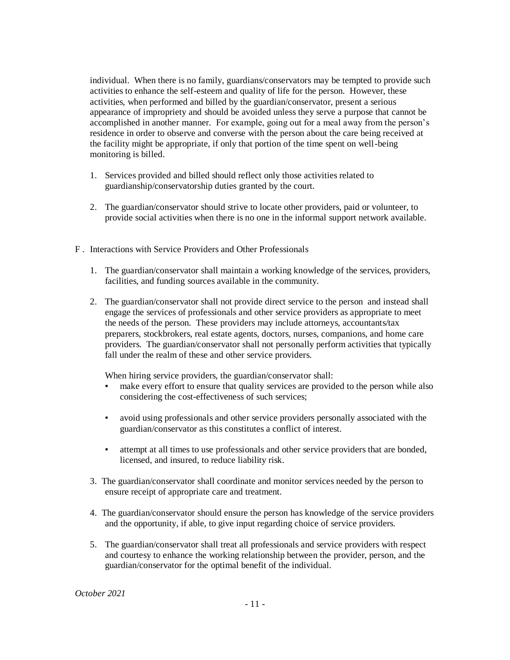individual. When there is no family, guardians/conservators may be tempted to provide such activities to enhance the self-esteem and quality of life for the person. However, these activities, when performed and billed by the guardian/conservator, present a serious appearance of impropriety and should be avoided unless they serve a purpose that cannot be accomplished in another manner. For example, going out for a meal away from the person's residence in order to observe and converse with the person about the care being received at the facility might be appropriate, if only that portion of the time spent on well-being monitoring is billed.

- 1. Services provided and billed should reflect only those activities related to guardianship/conservatorship duties granted by the court.
- 2. The guardian/conservator should strive to locate other providers, paid or volunteer, to provide social activities when there is no one in the informal support network available.
- F . Interactions with Service Providers and Other Professionals
	- 1. The guardian/conservator shall maintain a working knowledge of the services, providers, facilities, and funding sources available in the community.
	- 2. The guardian/conservator shall not provide direct service to the person and instead shall engage the services of professionals and other service providers as appropriate to meet the needs of the person. These providers may include attorneys, accountants/tax preparers, stockbrokers, real estate agents, doctors, nurses, companions, and home care providers. The guardian/conservator shall not personally perform activities that typically fall under the realm of these and other service providers.

When hiring service providers, the guardian/conservator shall:

- make every effort to ensure that quality services are provided to the person while also considering the cost-effectiveness of such services;
- avoid using professionals and other service providers personally associated with the guardian/conservator as this constitutes a conflict of interest.
- attempt at all times to use professionals and other service providers that are bonded, licensed, and insured, to reduce liability risk.
- 3. The guardian/conservator shall coordinate and monitor services needed by the person to ensure receipt of appropriate care and treatment.
- 4. The guardian/conservator should ensure the person has knowledge of the service providers and the opportunity, if able, to give input regarding choice of service providers.
- 5. The guardian/conservator shall treat all professionals and service providers with respect and courtesy to enhance the working relationship between the provider, person, and the guardian/conservator for the optimal benefit of the individual.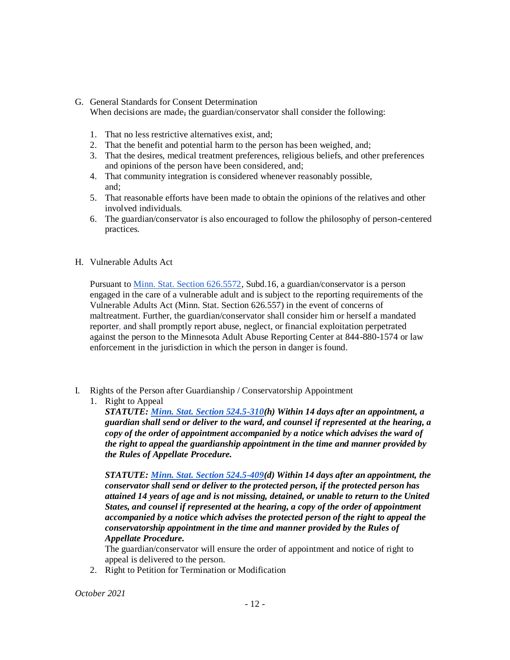#### G. General Standards for Consent Determination

When decisions are made, the guardian/conservator shall consider the following:

- 1. That no less restrictive alternatives exist, and;
- 2. That the benefit and potential harm to the person has been weighed, and;
- 3. That the desires, medical treatment preferences, religious beliefs, and other preferences and opinions of the person have been considered, and;
- 4. That community integration is considered whenever reasonably possible, and;
- 5. That reasonable efforts have been made to obtain the opinions of the relatives and other involved individuals.
- 6. The guardian/conservator is also encouraged to follow the philosophy of person-centered practices.
- H. Vulnerable Adults Act

Pursuant to [Minn. Stat. Section 626.5572,](https://www.revisor.mn.gov/statutes/cite/626.5572) Subd.16, a guardian/conservator is a person engaged in the care of a vulnerable adult and is subject to the reporting requirements of the Vulnerable Adults Act (Minn. Stat. Section 626.557) in the event of concerns of maltreatment. Further, the guardian/conservator shall consider him or herself a mandated reporter*,* and shall promptly report abuse, neglect, or financial exploitation perpetrated against the person to the Minnesota Adult Abuse Reporting Center at 844-880-1574 or law enforcement in the jurisdiction in which the person in danger is found.

- I. Rights of the Person after Guardianship / Conservatorship Appointment
	- 1. Right to Appeal

*STATUTE: [Minn. Stat. Section 524.5-310\(](https://www.revisor.mn.gov/statutes/cite/524.5-310)h) Within 14 days after an appointment, a guardian shall send or deliver to the ward, and counsel if represented at the hearing, a copy of the order of appointment accompanied by a notice which advises the ward of the right to appeal the guardianship appointment in the time and manner provided by the Rules of Appellate Procedure.*

*STATUTE: [Minn. Stat. Section 524.5-409\(](https://www.revisor.mn.gov/statutes/cite/524.5-409)d) Within 14 days after an appointment, the conservator shall send or deliver to the protected person, if the protected person has attained 14 years of age and is not missing, detained, or unable to return to the United States, and counsel if represented at the hearing, a copy of the order of appointment accompanied by a notice which advises the protected person of the right to appeal the conservatorship appointment in the time and manner provided by the Rules of Appellate Procedure.*

The guardian/conservator will ensure the order of appointment and notice of right to appeal is delivered to the person.

2. Right to Petition for Termination or Modification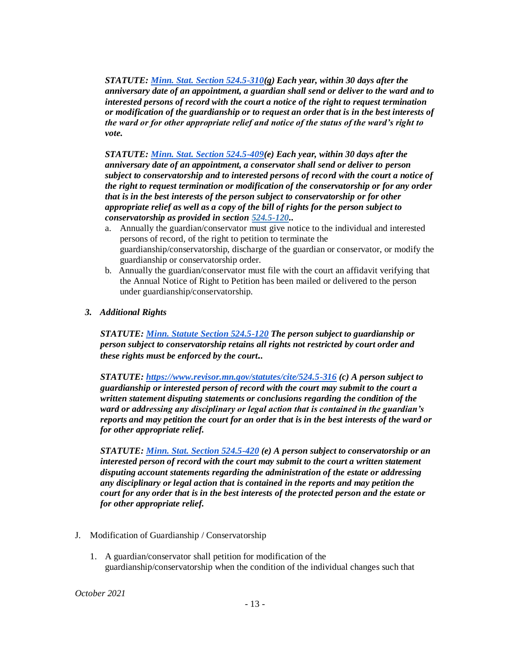*STATUTE: [Minn. Stat. Section 524.5-310\(](https://www.revisor.mn.gov/statutes/cite/524.5-310)g) Each year, within 30 days after the anniversary date of an appointment, a guardian shall send or deliver to the ward and to interested persons of record with the court a notice of the right to request termination or modification of the guardianship or to request an order that is in the best interests of the ward or for other appropriate relief and notice of the status of the ward's right to vote.*

*STATUTE: [Minn. Stat. Section 524.5-409\(](https://www.revisor.mn.gov/statutes/cite/524.5-409)e) Each year, within 30 days after the anniversary date of an appointment, a conservator shall send or deliver to person subject to conservatorship and to interested persons of record with the court a notice of the right to request termination or modification of the conservatorship or for any order that is in the best interests of the person subject to conservatorship or for other appropriate relief as well as a copy of the bill of rights for the person subject to conservatorship as provided in section [524.5-120.](https://www.revisor.mn.gov/statutes/cite/524.5-120).*

- a. Annually the guardian/conservator must give notice to the individual and interested persons of record, of the right to petition to terminate the guardianship/conservatorship, discharge of the guardian or conservator, or modify the guardianship or conservatorship order.
- b. Annually the guardian/conservator must file with the court an affidavit verifying that the Annual Notice of Right to Petition has been mailed or delivered to the person under guardianship/conservatorship.
- *3. Additional Rights*

*STATUTE: [Minn. Statute Section 524.5-120](https://www.revisor.mn.gov/statutes/cite/524.5-120) The person subject to guardianship or person subject to conservatorship retains all rights not restricted by court order and these rights must be enforced by the court..*

*STATUTE:<https://www.revisor.mn.gov/statutes/cite/524.5-316> (c) A person subject to guardianship or interested person of record with the court may submit to the court a written statement disputing statements or conclusions regarding the condition of the ward or addressing any disciplinary or legal action that is contained in the guardian's reports and may petition the court for an order that is in the best interests of the ward or for other appropriate relief.*

*STATUTE: [Minn. Stat. Section 524.5-420](https://www.revisor.mn.gov/statutes/cite/524.5-420) (e) A person subject to conservatorship or an interested person of record with the court may submit to the court a written statement disputing account statements regarding the administration of the estate or addressing any disciplinary or legal action that is contained in the reports and may petition the court for any order that is in the best interests of the protected person and the estate or for other appropriate relief.*

- J. Modification of Guardianship / Conservatorship
	- 1. A guardian/conservator shall petition for modification of the guardianship/conservatorship when the condition of the individual changes such that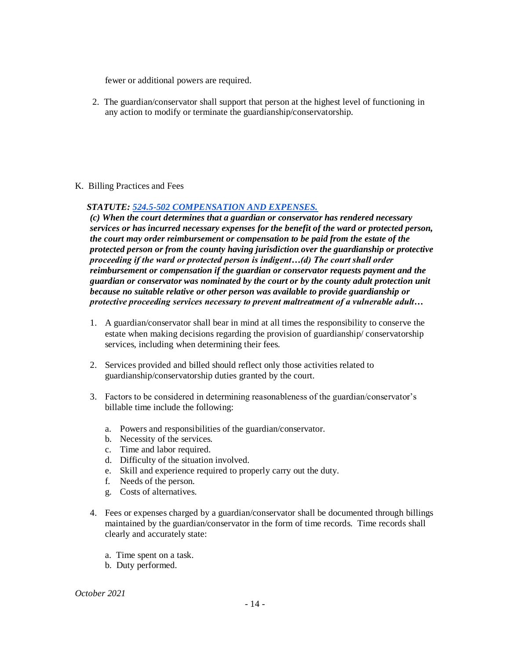fewer or additional powers are required.

2. The guardian/conservator shall support that person at the highest level of functioning in any action to modify or terminate the guardianship/conservatorship.

#### K. Billing Practices and Fees

#### *STATUTE: [524.5-502 COMPENSATION AND EXPENSES.](https://www.revisor.mn.gov/statutes/cite/524.5-502)*

*(c) When the court determines that a guardian or conservator has rendered necessary services or has incurred necessary expenses for the benefit of the ward or protected person, the court may order reimbursement or compensation to be paid from the estate of the protected person or from the county having jurisdiction over the guardianship or protective proceeding if the ward or protected person is indigent…(d) The court shall order reimbursement or compensation if the guardian or conservator requests payment and the guardian or conservator was nominated by the court or by the county adult protection unit because no suitable relative or other person was available to provide guardianship or protective proceeding services necessary to prevent maltreatment of a vulnerable adult…*

- 1. A guardian/conservator shall bear in mind at all times the responsibility to conserve the estate when making decisions regarding the provision of guardianship/ conservatorship services, including when determining their fees.
- 2. Services provided and billed should reflect only those activities related to guardianship/conservatorship duties granted by the court.
- 3. Factors to be considered in determining reasonableness of the guardian/conservator's billable time include the following:
	- a. Powers and responsibilities of the guardian/conservator.
	- b. Necessity of the services.
	- c. Time and labor required.
	- d. Difficulty of the situation involved.
	- e. Skill and experience required to properly carry out the duty.
	- f. Needs of the person.
	- g. Costs of alternatives.
- 4. Fees or expenses charged by a guardian/conservator shall be documented through billings maintained by the guardian/conservator in the form of time records. Time records shall clearly and accurately state:
	- a. Time spent on a task.
	- b. Duty performed.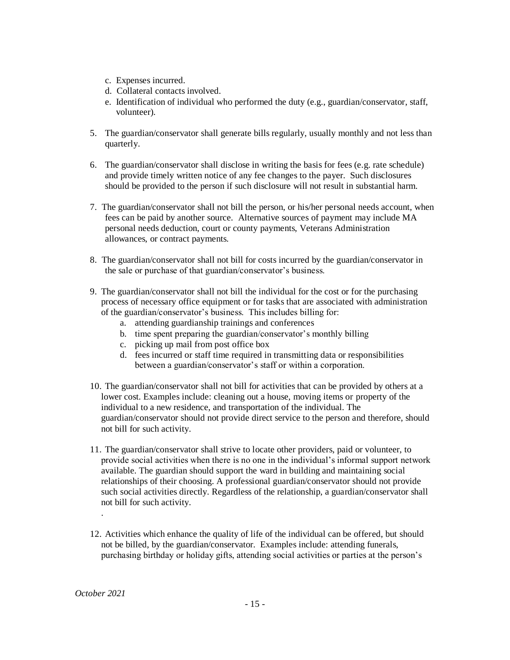- c. Expenses incurred.
- d. Collateral contacts involved.
- e. Identification of individual who performed the duty (e.g., guardian/conservator, staff, volunteer).
- 5. The guardian/conservator shall generate bills regularly, usually monthly and not less than quarterly.
- 6. The guardian/conservator shall disclose in writing the basis for fees (e.g. rate schedule) and provide timely written notice of any fee changes to the payer. Such disclosures should be provided to the person if such disclosure will not result in substantial harm.
- 7. The guardian/conservator shall not bill the person, or his/her personal needs account, when fees can be paid by another source. Alternative sources of payment may include MA personal needs deduction, court or county payments, Veterans Administration allowances, or contract payments.
- 8. The guardian/conservator shall not bill for costs incurred by the guardian/conservator in the sale or purchase of that guardian/conservator's business.
- 9. The guardian/conservator shall not bill the individual for the cost or for the purchasing process of necessary office equipment or for tasks that are associated with administration of the guardian/conservator's business. This includes billing for:
	- a. attending guardianship trainings and conferences
	- b. time spent preparing the guardian/conservator's monthly billing
	- c. picking up mail from post office box
	- d. fees incurred or staff time required in transmitting data or responsibilities between a guardian/conservator's staff or within a corporation.
- 10. The guardian/conservator shall not bill for activities that can be provided by others at a lower cost. Examples include: cleaning out a house, moving items or property of the individual to a new residence, and transportation of the individual. The guardian/conservator should not provide direct service to the person and therefore, should not bill for such activity.
- 11. The guardian/conservator shall strive to locate other providers, paid or volunteer, to provide social activities when there is no one in the individual's informal support network available. The guardian should support the ward in building and maintaining social relationships of their choosing. A professional guardian/conservator should not provide such social activities directly. Regardless of the relationship, a guardian/conservator shall not bill for such activity.
- 12. Activities which enhance the quality of life of the individual can be offered, but should not be billed, by the guardian/conservator. Examples include: attending funerals, purchasing birthday or holiday gifts, attending social activities or parties at the person's

.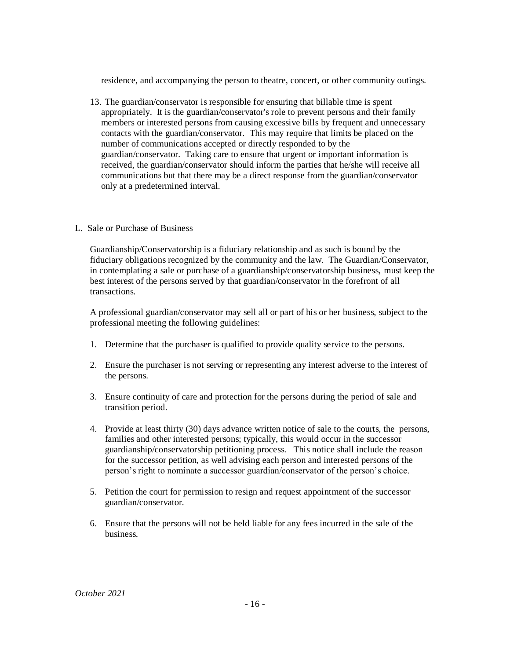residence, and accompanying the person to theatre, concert, or other community outings.

13. The guardian/conservator is responsible for ensuring that billable time is spent appropriately. It is the guardian/conservator's role to prevent persons and their family members or interested persons from causing excessive bills by frequent and unnecessary contacts with the guardian/conservator. This may require that limits be placed on the number of communications accepted or directly responded to by the guardian/conservator. Taking care to ensure that urgent or important information is received, the guardian/conservator should inform the parties that he/she will receive all communications but that there may be a direct response from the guardian/conservator only at a predetermined interval.

#### L. Sale or Purchase of Business

Guardianship/Conservatorship is a fiduciary relationship and as such is bound by the fiduciary obligations recognized by the community and the law. The Guardian/Conservator, in contemplating a sale or purchase of a guardianship/conservatorship business, must keep the best interest of the persons served by that guardian/conservator in the forefront of all transactions.

A professional guardian/conservator may sell all or part of his or her business, subject to the professional meeting the following guidelines:

- 1. Determine that the purchaser is qualified to provide quality service to the persons.
- 2. Ensure the purchaser is not serving or representing any interest adverse to the interest of the persons.
- 3. Ensure continuity of care and protection for the persons during the period of sale and transition period.
- 4. Provide at least thirty (30) days advance written notice of sale to the courts, the persons, families and other interested persons; typically, this would occur in the successor guardianship/conservatorship petitioning process. This notice shall include the reason for the successor petition, as well advising each person and interested persons of the person's right to nominate a successor guardian/conservator of the person's choice.
- 5. Petition the court for permission to resign and request appointment of the successor guardian/conservator.
- 6. Ensure that the persons will not be held liable for any fees incurred in the sale of the business.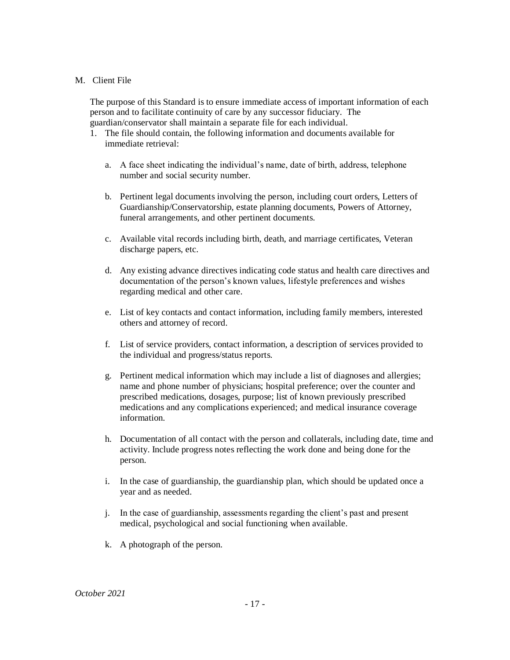#### M. Client File

The purpose of this Standard is to ensure immediate access of important information of each person and to facilitate continuity of care by any successor fiduciary. The guardian/conservator shall maintain a separate file for each individual.

- 1. The file should contain, the following information and documents available for immediate retrieval:
	- a. A face sheet indicating the individual's name, date of birth, address, telephone number and social security number.
	- b. Pertinent legal documents involving the person, including court orders, Letters of Guardianship/Conservatorship, estate planning documents, Powers of Attorney, funeral arrangements, and other pertinent documents.
	- c. Available vital records including birth, death, and marriage certificates, Veteran discharge papers, etc.
	- d. Any existing advance directives indicating code status and health care directives and documentation of the person's known values, lifestyle preferences and wishes regarding medical and other care.
	- e. List of key contacts and contact information, including family members, interested others and attorney of record.
	- f. List of service providers, contact information, a description of services provided to the individual and progress/status reports.
	- g. Pertinent medical information which may include a list of diagnoses and allergies; name and phone number of physicians; hospital preference; over the counter and prescribed medications, dosages, purpose; list of known previously prescribed medications and any complications experienced; and medical insurance coverage information.
	- h. Documentation of all contact with the person and collaterals, including date, time and activity. Include progress notes reflecting the work done and being done for the person.
	- i. In the case of guardianship, the guardianship plan, which should be updated once a year and as needed.
	- j. In the case of guardianship, assessments regarding the client's past and present medical, psychological and social functioning when available.
	- k. A photograph of the person.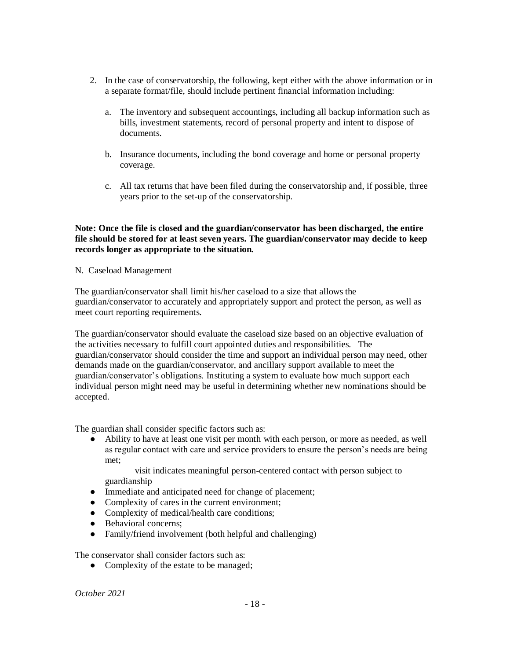- 2. In the case of conservatorship, the following, kept either with the above information or in a separate format/file, should include pertinent financial information including:
	- a. The inventory and subsequent accountings, including all backup information such as bills, investment statements, record of personal property and intent to dispose of documents.
	- b. Insurance documents, including the bond coverage and home or personal property coverage.
	- c. All tax returns that have been filed during the conservatorship and, if possible, three years prior to the set-up of the conservatorship.

#### **Note: Once the file is closed and the guardian/conservator has been discharged, the entire file should be stored for at least seven years. The guardian/conservator may decide to keep records longer as appropriate to the situation.**

#### N. Caseload Management

The guardian/conservator shall limit his/her caseload to a size that allows the guardian/conservator to accurately and appropriately support and protect the person, as well as meet court reporting requirements.

The guardian/conservator should evaluate the caseload size based on an objective evaluation of the activities necessary to fulfill court appointed duties and responsibilities. The guardian/conservator should consider the time and support an individual person may need, other demands made on the guardian/conservator, and ancillary support available to meet the guardian/conservator's obligations. Instituting a system to evaluate how much support each individual person might need may be useful in determining whether new nominations should be accepted.

The guardian shall consider specific factors such as:

Ability to have at least one visit per month with each person, or more as needed, as well as regular contact with care and service providers to ensure the person's needs are being met;

visit indicates meaningful person-centered contact with person subject to guardianship

- Immediate and anticipated need for change of placement;
- Complexity of cares in the current environment;
- Complexity of medical/health care conditions;
- Behavioral concerns;
- Family/friend involvement (both helpful and challenging)

The conservator shall consider factors such as:

• Complexity of the estate to be managed;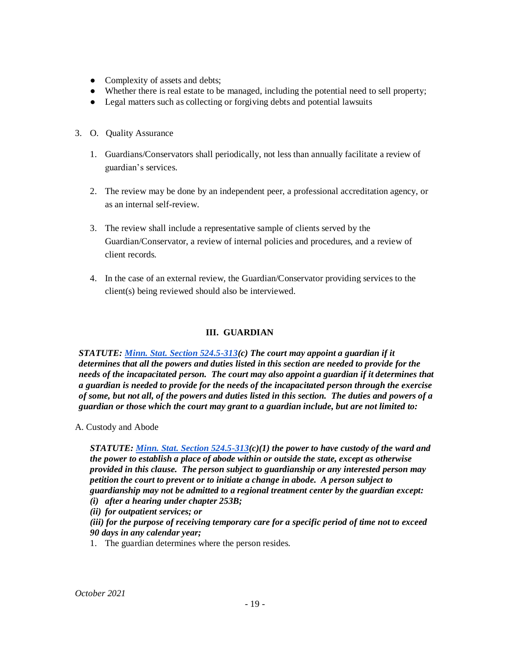- Complexity of assets and debts;
- Whether there is real estate to be managed, including the potential need to sell property;
- Legal matters such as collecting or forgiving debts and potential lawsuits
- 3. O. Quality Assurance
	- 1. Guardians/Conservators shall periodically, not less than annually facilitate a review of guardian's services.
	- 2. The review may be done by an independent peer, a professional accreditation agency, or as an internal self-review.
	- 3. The review shall include a representative sample of clients served by the Guardian/Conservator, a review of internal policies and procedures, and a review of client records.
	- 4. In the case of an external review, the Guardian/Conservator providing services to the client(s) being reviewed should also be interviewed.

## **III. GUARDIAN**

*STATUTE: [Minn. Stat. Section 524.5-313\(](https://www.revisor.mn.gov/statutes/cite/524.5-313)c) The court may appoint a guardian if it determines that all the powers and duties listed in this section are needed to provide for the needs of the incapacitated person. The court may also appoint a guardian if it determines that a guardian is needed to provide for the needs of the incapacitated person through the exercise of some, but not all, of the powers and duties listed in this section. The duties and powers of a guardian or those which the court may grant to a guardian include, but are not limited to:*

A. Custody and Abode

*STATUTE: [Minn. Stat. Section 524.5-313\(](https://www.revisor.mn.gov/statutes/cite/524.5-313)c)(1) the power to have custody of the ward and the power to establish a place of abode within or outside the state, except as otherwise provided in this clause. The person subject to guardianship or any interested person may petition the court to prevent or to initiate a change in abode. A person subject to guardianship may not be admitted to a regional treatment center by the guardian except:* 

- *(i) after a hearing under chapter 253B;*
- *(ii) for outpatient services; or*

*(iii) for the purpose of receiving temporary care for a specific period of time not to exceed 90 days in any calendar year;* 

1. The guardian determines where the person resides.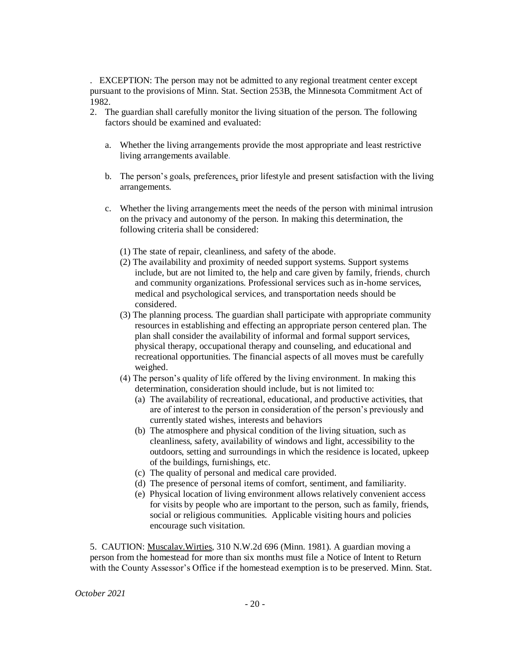. EXCEPTION: The person may not be admitted to any regional treatment center except pursuant to the provisions of Minn. Stat. Section 253B, the Minnesota Commitment Act of 1982.

- 2. The guardian shall carefully monitor the living situation of the person. The following factors should be examined and evaluated:
	- a. Whether the living arrangements provide the most appropriate and least restrictive living arrangements available*.*
	- b. The person's goals, preferences, prior lifestyle and present satisfaction with the living arrangements.
	- c. Whether the living arrangements meet the needs of the person with minimal intrusion on the privacy and autonomy of the person. In making this determination, the following criteria shall be considered:
		- (1) The state of repair, cleanliness, and safety of the abode.
		- (2) The availability and proximity of needed support systems. Support systems include, but are not limited to, the help and care given by family, friends, church and community organizations. Professional services such as in-home services, medical and psychological services, and transportation needs should be considered.
		- (3) The planning process. The guardian shall participate with appropriate community resources in establishing and effecting an appropriate person centered plan. The plan shall consider the availability of informal and formal support services, physical therapy, occupational therapy and counseling, and educational and recreational opportunities. The financial aspects of all moves must be carefully weighed.
		- (4) The person's quality of life offered by the living environment. In making this determination, consideration should include, but is not limited to:
			- (a) The availability of recreational, educational, and productive activities, that are of interest to the person in consideration of the person's previously and currently stated wishes, interests and behaviors
			- (b) The atmosphere and physical condition of the living situation, such as cleanliness, safety, availability of windows and light, accessibility to the outdoors, setting and surroundings in which the residence is located, upkeep of the buildings, furnishings, etc.
			- (c) The quality of personal and medical care provided.
			- (d) The presence of personal items of comfort, sentiment, and familiarity.
			- (e) Physical location of living environment allows relatively convenient access for visits by people who are important to the person, such as family, friends, social or religious communities. Applicable visiting hours and policies encourage such visitation.

5. CAUTION: Muscalav.Wirties, 310 N.W.2d 696 (Minn. 1981). A guardian moving a person from the homestead for more than six months must file a Notice of Intent to Return with the County Assessor's Office if the homestead exemption is to be preserved. Minn. Stat.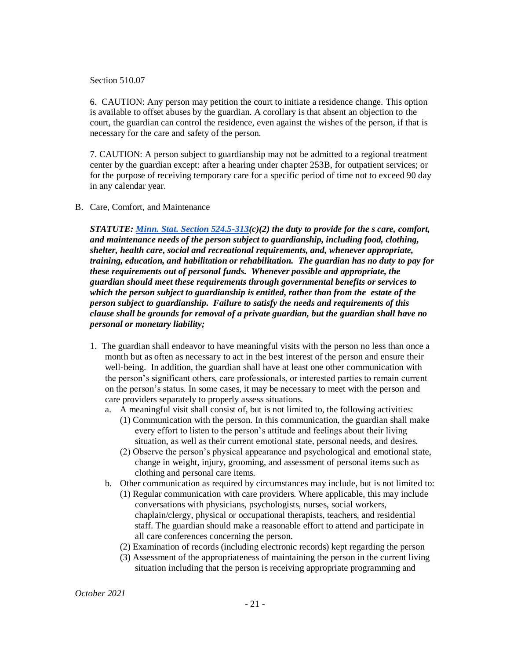Section 510.07

6. CAUTION: Any person may petition the court to initiate a residence change. This option is available to offset abuses by the guardian. A corollary is that absent an objection to the court, the guardian can control the residence, even against the wishes of the person, if that is necessary for the care and safety of the person.

7. CAUTION: A person subject to guardianship may not be admitted to a regional treatment center by the guardian except: after a hearing under chapter 253B, for outpatient services; or for the purpose of receiving temporary care for a specific period of time not to exceed 90 day in any calendar year.

B. Care, Comfort, and Maintenance

*STATUTE: [Minn. Stat. Section 524.5-313\(](https://www.revisor.mn.gov/statutes/cite/524.5-313)c)(2) the duty to provide for the s care, comfort, and maintenance needs of the person subject to guardianship, including food, clothing, shelter, health care, social and recreational requirements, and, whenever appropriate, training, education, and habilitation or rehabilitation. The guardian has no duty to pay for these requirements out of personal funds. Whenever possible and appropriate, the guardian should meet these requirements through governmental benefits or services to which the person subject to guardianship is entitled, rather than from the estate of the person subject to guardianship. Failure to satisfy the needs and requirements of this clause shall be grounds for removal of a private guardian, but the guardian shall have no personal or monetary liability;*

- 1. The guardian shall endeavor to have meaningful visits with the person no less than once a month but as often as necessary to act in the best interest of the person and ensure their well-being. In addition, the guardian shall have at least one other communication with the person's significant others, care professionals, or interested parties to remain current on the person's status. In some cases, it may be necessary to meet with the person and care providers separately to properly assess situations.
	- a. A meaningful visit shall consist of, but is not limited to, the following activities:
		- (1) Communication with the person. In this communication, the guardian shall make every effort to listen to the person's attitude and feelings about their living situation, as well as their current emotional state, personal needs, and desires.
		- (2) Observe the person's physical appearance and psychological and emotional state, change in weight, injury, grooming, and assessment of personal items such as clothing and personal care items.
	- b. Other communication as required by circumstances may include, but is not limited to:
		- (1) Regular communication with care providers. Where applicable, this may include conversations with physicians, psychologists, nurses, social workers, chaplain/clergy, physical or occupational therapists, teachers, and residential staff. The guardian should make a reasonable effort to attend and participate in all care conferences concerning the person*.*
		- (2) Examination of records (including electronic records) kept regarding the person
		- (3) Assessment of the appropriateness of maintaining the person in the current living situation including that the person is receiving appropriate programming and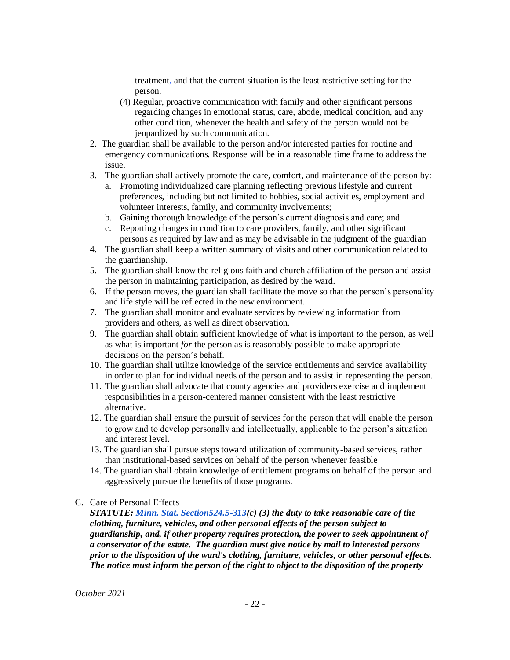treatment*,* and that the current situation is the least restrictive setting for the person.

- (4) Regular, proactive communication with family and other significant persons regarding changes in emotional status, care, abode, medical condition, and any other condition, whenever the health and safety of the person would not be jeopardized by such communication.
- 2. The guardian shall be available to the person and/or interested parties for routine and emergency communications. Response will be in a reasonable time frame to address the issue.
- 3. The guardian shall actively promote the care, comfort, and maintenance of the person by:
	- a. Promoting individualized care planning reflecting previous lifestyle and current preferences, including but not limited to hobbies, social activities, employment and volunteer interests, family, and community involvements;
	- b. Gaining thorough knowledge of the person's current diagnosis and care; and
	- c. Reporting changes in condition to care providers, family, and other significant persons as required by law and as may be advisable in the judgment of the guardian
- 4. The guardian shall keep a written summary of visits and other communication related to the guardianship.
- 5. The guardian shall know the religious faith and church affiliation of the person and assist the person in maintaining participation, as desired by the ward.
- 6. If the person moves, the guardian shall facilitate the move so that the person's personality and life style will be reflected in the new environment.
- 7. The guardian shall monitor and evaluate services by reviewing information from providers and others, as well as direct observation.
- 9. The guardian shall obtain sufficient knowledge of what is important *to* the person, as well as what is important *for* the person as is reasonably possible to make appropriate decisions on the person's behalf.
- 10. The guardian shall utilize knowledge of the service entitlements and service availability in order to plan for individual needs of the person and to assist in representing the person.
- 11. The guardian shall advocate that county agencies and providers exercise and implement responsibilities in a person-centered manner consistent with the least restrictive alternative.
- 12. The guardian shall ensure the pursuit of services for the person that will enable the person to grow and to develop personally and intellectually, applicable to the person's situation and interest level.
- 13. The guardian shall pursue steps toward utilization of community-based services, rather than institutional-based services on behalf of the person whenever feasible
- 14. The guardian shall obtain knowledge of entitlement programs on behalf of the person and aggressively pursue the benefits of those programs.

#### C. Care of Personal Effects

*STATUTE: [Minn. Stat. Section524.5-313\(](https://law.justia.com/codes/minnesota/2020/chapters-524-532/chapter-524/section-524-5-313/)c) (3) the duty to take reasonable care of the clothing, furniture, vehicles, and other personal effects of the person subject to guardianship, and, if other property requires protection, the power to seek appointment of a conservator of the estate. The guardian must give notice by mail to interested persons prior to the disposition of the ward's clothing, furniture, vehicles, or other personal effects. The notice must inform the person of the right to object to the disposition of the property*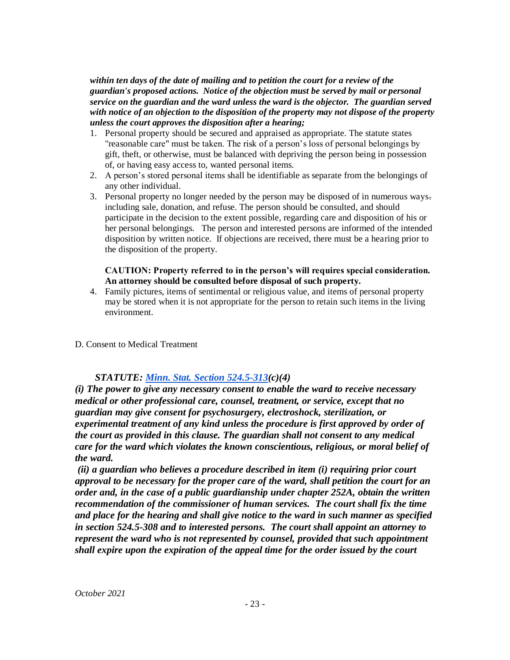*within ten days of the date of mailing and to petition the court for a review of the guardian's proposed actions. Notice of the objection must be served by mail or personal service on the guardian and the ward unless the ward is the objector. The guardian served with notice of an objection to the disposition of the property may not dispose of the property unless the court approves the disposition after a hearing;* 

- 1. Personal property should be secured and appraised as appropriate. The statute states "reasonable care" must be taken. The risk of a person's loss of personal belongings by gift, theft, or otherwise, must be balanced with depriving the person being in possession of, or having easy access to, wanted personal items.
- 2. A person's stored personal items shall be identifiable as separate from the belongings of any other individual.
- 3. Personal property no longer needed by the person may be disposed of in numerous ways. including sale, donation, and refuse. The person should be consulted, and should participate in the decision to the extent possible, regarding care and disposition of his or her personal belongings. The person and interested persons are informed of the intended disposition by written notice. If objections are received, there must be a hearing prior to the disposition of the property.

#### **CAUTION: Property referred to in the person's will requires special consideration. An attorney should be consulted before disposal of such property.**

- 4. Family pictures, items of sentimental or religious value, and items of personal property may be stored when it is not appropriate for the person to retain such items in the living environment.
- D. Consent to Medical Treatment

#### *STATUTE: [Minn. Stat. Section 524.5-313\(](https://www.revisor.mn.gov/statutes/cite/524.5-313)c)(4)*

*(i) The power to give any necessary consent to enable the ward to receive necessary medical or other professional care, counsel, treatment, or service, except that no guardian may give consent for psychosurgery, electroshock, sterilization, or experimental treatment of any kind unless the procedure is first approved by order of the court as provided in this clause. The guardian shall not consent to any medical care for the ward which violates the known conscientious, religious, or moral belief of the ward.*

*(ii) a guardian who believes a procedure described in item (i) requiring prior court approval to be necessary for the proper care of the ward, shall petition the court for an order and, in the case of a public guardianship under chapter 252A, obtain the written*  recommendation of the commissioner of human services. The court shall fix the time *and place for the hearing and shall give notice to the ward in such manner as specified in section 524.5-308 and to interested persons. The court shall appoint an attorney to represent the ward who is not represented by counsel, provided that such appointment shall expire upon the expiration of the appeal time for the order issued by the court*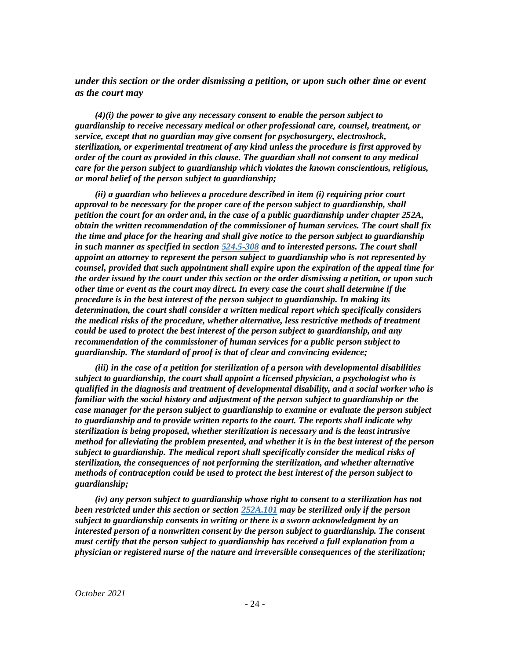*under this section or the order dismissing a petition, or upon such other time or event as the court may* 

*(4)(i) the power to give any necessary consent to enable the person subject to guardianship to receive necessary medical or other professional care, counsel, treatment, or service, except that no guardian may give consent for psychosurgery, electroshock, sterilization, or experimental treatment of any kind unless the procedure is first approved by order of the court as provided in this clause. The guardian shall not consent to any medical care for the person subject to guardianship which violates the known conscientious, religious, or moral belief of the person subject to guardianship;*

*(ii) a guardian who believes a procedure described in item (i) requiring prior court approval to be necessary for the proper care of the person subject to guardianship, shall petition the court for an order and, in the case of a public guardianship under chapter 252A, obtain the written recommendation of the commissioner of human services. The court shall fix the time and place for the hearing and shall give notice to the person subject to guardianship in such manner as specified in section [524.5-308](https://www.revisor.mn.gov/statutes/cite/524.5-308) and to interested persons. The court shall appoint an attorney to represent the person subject to guardianship who is not represented by counsel, provided that such appointment shall expire upon the expiration of the appeal time for the order issued by the court under this section or the order dismissing a petition, or upon such other time or event as the court may direct. In every case the court shall determine if the procedure is in the best interest of the person subject to guardianship. In making its determination, the court shall consider a written medical report which specifically considers the medical risks of the procedure, whether alternative, less restrictive methods of treatment could be used to protect the best interest of the person subject to guardianship, and any recommendation of the commissioner of human services for a public person subject to guardianship. The standard of proof is that of clear and convincing evidence;*

*(iii) in the case of a petition for sterilization of a person with developmental disabilities subject to guardianship, the court shall appoint a licensed physician, a psychologist who is qualified in the diagnosis and treatment of developmental disability, and a social worker who is familiar with the social history and adjustment of the person subject to guardianship or the case manager for the person subject to guardianship to examine or evaluate the person subject to guardianship and to provide written reports to the court. The reports shall indicate why sterilization is being proposed, whether sterilization is necessary and is the least intrusive method for alleviating the problem presented, and whether it is in the best interest of the person subject to guardianship. The medical report shall specifically consider the medical risks of sterilization, the consequences of not performing the sterilization, and whether alternative methods of contraception could be used to protect the best interest of the person subject to guardianship;*

*(iv) any person subject to guardianship whose right to consent to a sterilization has not been restricted under this section or section [252A.101](https://www.revisor.mn.gov/statutes/cite/252A.101) may be sterilized only if the person subject to guardianship consents in writing or there is a sworn acknowledgment by an interested person of a nonwritten consent by the person subject to guardianship. The consent must certify that the person subject to guardianship has received a full explanation from a physician or registered nurse of the nature and irreversible consequences of the sterilization;*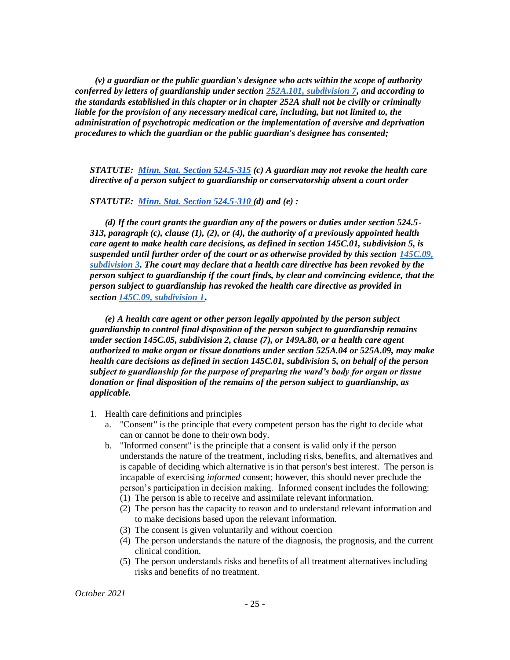*(v) a guardian or the public guardian's designee who acts within the scope of authority conferred by letters of guardianship under section [252A.101, subdivision 7,](https://www.revisor.mn.gov/statutes/cite/252A.101#stat.252A.101.7) and according to the standards established in this chapter or in chapter 252A shall not be civilly or criminally liable for the provision of any necessary medical care, including, but not limited to, the administration of psychotropic medication or the implementation of aversive and deprivation procedures to which the guardian or the public guardian's designee has consented;*

*STATUTE: [Minn. Stat. Section 524.5-315](https://www.revisor.mn.gov/statutes/cite/524.5-315) (c) A guardian may not revoke the health care directive of a person subject to guardianship or conservatorship absent a court order*

*STATUTE: [Minn. Stat. Section 524.5-310 \(](https://www.revisor.mn.gov/statutes/cite/524.5-310)d) and (e) :*

*(d) If the court grants the guardian any of the powers or duties under section 524.5- 313, paragraph (c), clause (1), (2), or (4), the authority of a previously appointed health care agent to make health care decisions, as defined in section 145C.01, subdivision 5, is suspended until further order of the court or as otherwise provided by this section [145C.09,](https://www.revisor.mn.gov/statutes/cite/145C.09#stat.145C.09.3)  [subdivision 3.](https://www.revisor.mn.gov/statutes/cite/145C.09#stat.145C.09.3) The court may declare that a health care directive has been revoked by the person subject to guardianship if the court finds, by clear and convincing evidence, that the person subject to guardianship has revoked the health care directive as provided in section [145C.09, subdivision 1](https://www.revisor.mn.gov/statutes/cite/145C.09#stat.145C.09.1).*

*(e) A health care agent or other person legally appointed by the person subject guardianship to control final disposition of the person subject to guardianship remains under section 145C.05, subdivision 2, clause (7), or 149A.80, or a health care agent authorized to make organ or tissue donations under section 525A.04 or 525A.09, may make health care decisions as defined in section 145C.01, subdivision 5, on behalf of the person subject to guardianship for the purpose of preparing the ward's body for organ or tissue donation or final disposition of the remains of the person subject to guardianship, as applicable.*

- 1. Health care definitions and principles
	- a. "Consent" is the principle that every competent person has the right to decide what can or cannot be done to their own body.
	- b. "Informed consent" is the principle that a consent is valid only if the person understands the nature of the treatment, including risks, benefits, and alternatives and is capable of deciding which alternative is in that person's best interest. The person is incapable of exercising *informed* consent; however, this should never preclude the person's participation in decision making. Informed consent includes the following:
		- (1) The person is able to receive and assimilate relevant information.
		- (2) The person has the capacity to reason and to understand relevant information and to make decisions based upon the relevant information.
		- (3) The consent is given voluntarily and without coercion
		- (4) The person understands the nature of the diagnosis, the prognosis, and the current clinical condition.
		- (5) The person understands risks and benefits of all treatment alternatives including risks and benefits of no treatment.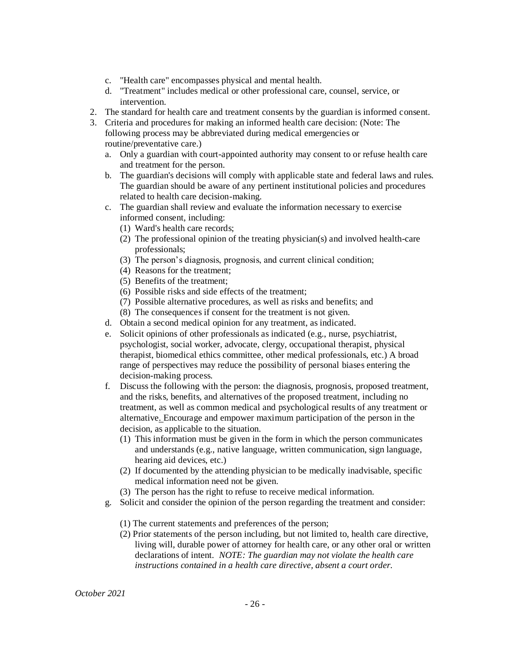- c. "Health care" encompasses physical and mental health.
- d. "Treatment" includes medical or other professional care, counsel, service, or intervention.
- 2. The standard for health care and treatment consents by the guardian is informed consent.
- 3. Criteria and procedures for making an informed health care decision: (Note: The following process may be abbreviated during medical emergencies or routine/preventative care.)
	- a. Only a guardian with court-appointed authority may consent to or refuse health care and treatment for the person.
	- b. The guardian's decisions will comply with applicable state and federal laws and rules. The guardian should be aware of any pertinent institutional policies and procedures related to health care decision-making.
	- c. The guardian shall review and evaluate the information necessary to exercise informed consent, including:
		- (1) Ward's health care records;
		- (2) The professional opinion of the treating physician(s) and involved health-care professionals;
		- (3) The person's diagnosis, prognosis, and current clinical condition;
		- (4) Reasons for the treatment;
		- (5) Benefits of the treatment;
		- (6) Possible risks and side effects of the treatment;
		- (7) Possible alternative procedures, as well as risks and benefits; and
		- (8) The consequences if consent for the treatment is not given.
	- d. Obtain a second medical opinion for any treatment, as indicated.
	- e. Solicit opinions of other professionals as indicated (e.g., nurse, psychiatrist, psychologist, social worker, advocate, clergy, occupational therapist, physical therapist, biomedical ethics committee, other medical professionals, etc.) A broad range of perspectives may reduce the possibility of personal biases entering the decision-making process.
	- f. Discuss the following with the person: the diagnosis, prognosis, proposed treatment, and the risks, benefits, and alternatives of the proposed treatment, including no treatment, as well as common medical and psychological results of any treatment or alternative. Encourage and empower maximum participation of the person in the decision, as applicable to the situation*.* 
		- (1) This information must be given in the form in which the person communicates and understands (e.g., native language, written communication, sign language, hearing aid devices, etc.)
		- (2) If documented by the attending physician to be medically inadvisable, specific medical information need not be given.
		- (3) The person has the right to refuse to receive medical information.
	- g. Solicit and consider the opinion of the person regarding the treatment and consider:
		- (1) The current statements and preferences of the person;
		- (2) Prior statements of the person including, but not limited to, health care directive, living will, durable power of attorney for health care, or any other oral or written declarations of intent. *NOTE: The guardian may not violate the health care instructions contained in a health care directive, absent a court order.*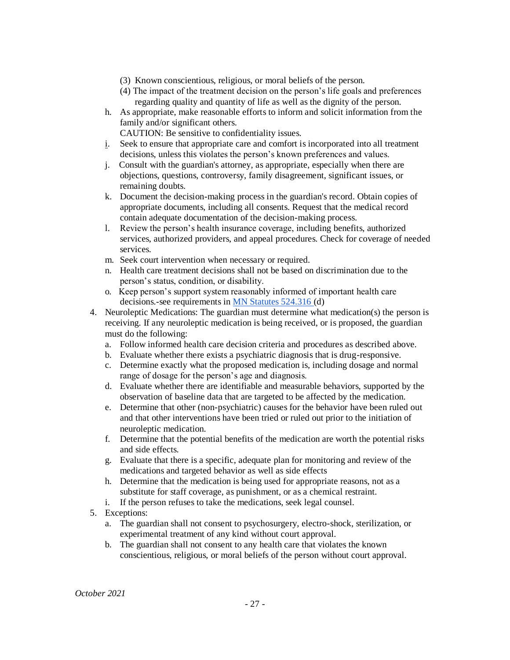- (3) Known conscientious, religious, or moral beliefs of the person.
- (4) The impact of the treatment decision on the person's life goals and preferences regarding quality and quantity of life as well as the dignity of the person.
- h. As appropriate, make reasonable efforts to inform and solicit information from the family and/or significant others.

CAUTION: Be sensitive to confidentiality issues.

- i. Seek to ensure that appropriate care and comfort is incorporated into all treatment decisions, unless this violates the person's known preferences and values.
- j. Consult with the guardian's attorney, as appropriate, especially when there are objections, questions, controversy, family disagreement, significant issues, or remaining doubts.
- k. Document the decision-making process in the guardian's record. Obtain copies of appropriate documents, including all consents. Request that the medical record contain adequate documentation of the decision-making process.
- l. Review the person's health insurance coverage, including benefits, authorized services, authorized providers, and appeal procedures. Check for coverage of needed services.
- m. Seek court intervention when necessary or required.
- n. Health care treatment decisions shall not be based on discrimination due to the person's status, condition, or disability.
- o*.* Keep person's support system reasonably informed of important health care decisions.-see requirements in [MN Statutes 524.316 \(](https://www.revisor.mn.gov/statutes/cite/524.5-316)d)
- 4. Neuroleptic Medications: The guardian must determine what medication(s) the person is receiving. If any neuroleptic medication is being received, or is proposed, the guardian must do the following:
	- a. Follow informed health care decision criteria and procedures as described above.
	- b. Evaluate whether there exists a psychiatric diagnosis that is drug-responsive.
	- c. Determine exactly what the proposed medication is, including dosage and normal range of dosage for the person's age and diagnosis.
	- d. Evaluate whether there are identifiable and measurable behaviors, supported by the observation of baseline data that are targeted to be affected by the medication.
	- e. Determine that other (non-psychiatric) causes for the behavior have been ruled out and that other interventions have been tried or ruled out prior to the initiation of neuroleptic medication.
	- f. Determine that the potential benefits of the medication are worth the potential risks and side effects.
	- g. Evaluate that there is a specific, adequate plan for monitoring and review of the medications and targeted behavior as well as side effects
	- h. Determine that the medication is being used for appropriate reasons, not as a substitute for staff coverage, as punishment, or as a chemical restraint.
	- i. If the person refuses to take the medications, seek legal counsel.
- 5. Exceptions:
	- a. The guardian shall not consent to psychosurgery, electro-shock, sterilization, or experimental treatment of any kind without court approval.
	- b. The guardian shall not consent to any health care that violates the known conscientious, religious, or moral beliefs of the person without court approval.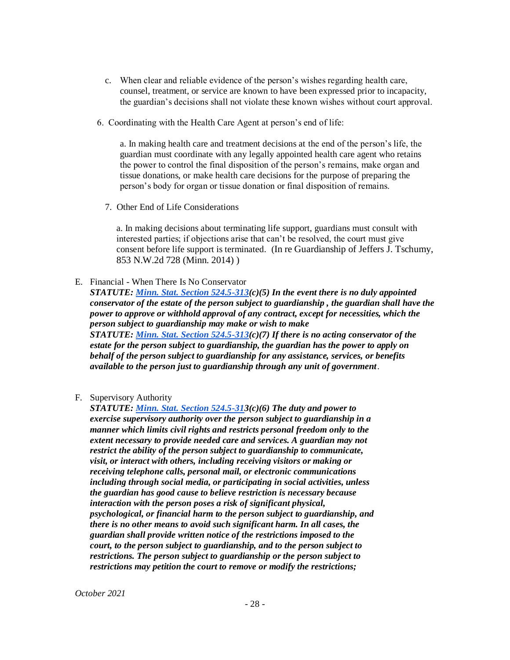- c. When clear and reliable evidence of the person's wishes regarding health care, counsel, treatment, or service are known to have been expressed prior to incapacity, the guardian's decisions shall not violate these known wishes without court approval.
- 6. Coordinating with the Health Care Agent at person's end of life:

a. In making health care and treatment decisions at the end of the person's life, the guardian must coordinate with any legally appointed health care agent who retains the power to control the final disposition of the person's remains, make organ and tissue donations, or make health care decisions for the purpose of preparing the person's body for organ or tissue donation or final disposition of remains.

7. Other End of Life Considerations

a. In making decisions about terminating life support, guardians must consult with interested parties; if objections arise that can't be resolved, the court must give consent before life support is terminated. (In re Guardianship of Jeffers J. Tschumy, 853 N.W.2d 728 (Minn. 2014) )

E. Financial - When There Is No Conservator

*STATUTE: [Minn. Stat. Section 524.5-313\(](https://www.revisor.mn.gov/statutes/cite/524.5-313)c)(5) In the event there is no duly appointed conservator of the estate of the person subject to guardianship , the guardian shall have the power to approve or withhold approval of any contract, except for necessities, which the person subject to guardianship may make or wish to make STATUTE: [Minn. Stat. Section 524.5-313\(](https://www.revisor.mn.gov/statutes/cite/524.5-313)c)(7) If there is no acting conservator of the estate for the person subject to guardianship, the guardian has the power to apply on behalf of the person subject to guardianship for any assistance, services, or benefits available to the person just to guardianship through any unit of government*.

F. Supervisory Authority

*STATUTE: [Minn. Stat. Section 524.5-313](https://www.revisor.mn.gov/statutes/cite/524.5-313)(c)(6) The duty and power to exercise supervisory authority over the person subject to guardianship in a manner which limits civil rights and restricts personal freedom only to the extent necessary to provide needed care and services. A guardian may not restrict the ability of the person subject to guardianship to communicate, visit, or interact with others, including receiving visitors or making or receiving telephone calls, personal mail, or electronic communications including through social media, or participating in social activities, unless the guardian has good cause to believe restriction is necessary because interaction with the person poses a risk of significant physical, psychological, or financial harm to the person subject to guardianship, and there is no other means to avoid such significant harm. In all cases, the guardian shall provide written notice of the restrictions imposed to the court, to the person subject to guardianship, and to the person subject to restrictions. The person subject to guardianship or the person subject to restrictions may petition the court to remove or modify the restrictions;*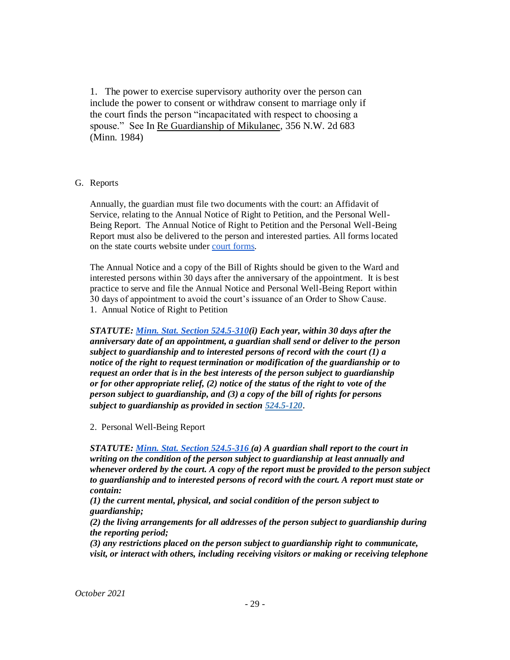1. The power to exercise supervisory authority over the person can include the power to consent or withdraw consent to marriage only if the court finds the person "incapacitated with respect to choosing a spouse." See In Re Guardianship of Mikulanec, 356 N.W. 2d 683 (Minn. 1984)

#### G. Reports

Annually, the guardian must file two documents with the court: an Affidavit of Service, relating to the Annual Notice of Right to Petition, and the Personal Well-Being Report. The Annual Notice of Right to Petition and the Personal Well-Being Report must also be delivered to the person and interested parties. All forms located on the state courts website under [court forms.](https://www.mncourts.gov/GetForms.aspx?c=21)

The Annual Notice and a copy of the Bill of Rights should be given to the Ward and interested persons within 30 days after the anniversary of the appointment. It is best practice to serve and file the Annual Notice and Personal Well-Being Report within 30 days of appointment to avoid the court's issuance of an Order to Show Cause. 1. Annual Notice of Right to Petition

*STATUTE: [Minn. Stat. Section 524.5-310\(](https://www.revisor.mn.gov/statutes/cite/524.5-310)i) Each year, within 30 days after the anniversary date of an appointment, a guardian shall send or deliver to the person subject to guardianship and to interested persons of record with the court (1) a notice of the right to request termination or modification of the guardianship or to request an order that is in the best interests of the person subject to guardianship or for other appropriate relief, (2) notice of the status of the right to vote of the person subject to guardianship, and (3) a copy of the bill of rights for persons subject to guardianship as provided in section [524.5-120](https://www.revisor.mn.gov/statutes/cite/524.5-120)*.

2. Personal Well-Being Report

*STATUTE: [Minn. Stat. Section 524.5-316 \(](https://www.revisor.mn.gov/statutes/cite/524.5-316)a) A guardian shall report to the court in writing on the condition of the person subject to guardianship at least annually and whenever ordered by the court. A copy of the report must be provided to the person subject to guardianship and to interested persons of record with the court. A report must state or contain:* 

*(1) the current mental, physical, and social condition of the person subject to guardianship;* 

*(2) the living arrangements for all addresses of the person subject to guardianship during the reporting period;* 

*(3) any restrictions placed on the person subject to guardianship right to communicate, visit, or interact with others, including receiving visitors or making or receiving telephone*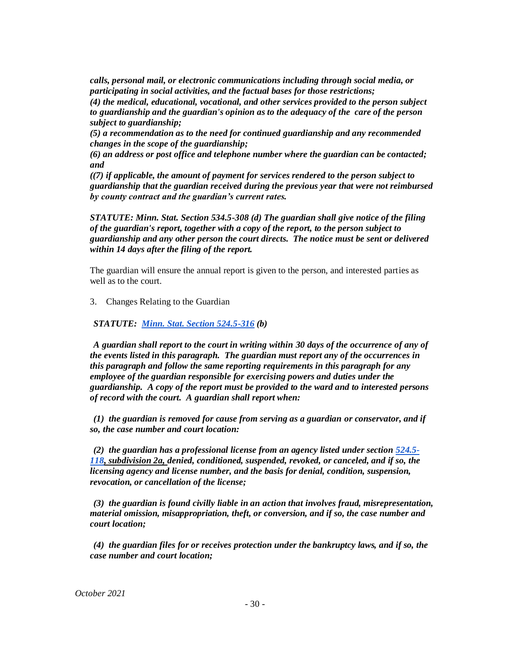*calls, personal mail, or electronic communications including through social media, or participating in social activities, and the factual bases for those restrictions;*

*(4) the medical, educational, vocational, and other services provided to the person subject to guardianship and the guardian's opinion as to the adequacy of the care of the person subject to guardianship;* 

*(5) a recommendation as to the need for continued guardianship and any recommended changes in the scope of the guardianship;*

*(6) an address or post office and telephone number where the guardian can be contacted; and*

*((7) if applicable, the amount of payment for services rendered to the person subject to guardianship that the guardian received during the previous year that were not reimbursed by county contract and the guardian's current rates.*

*STATUTE: Minn. Stat. Section 534.5-308 (d) The guardian shall give notice of the filing of the guardian's report, together with a copy of the report, to the person subject to guardianship and any other person the court directs. The notice must be sent or delivered within 14 days after the filing of the report.* 

The guardian will ensure the annual report is given to the person, and interested parties as well as to the court.

3. Changes Relating to the Guardian

*STATUTE: [Minn. Stat. Section 524.5-316](https://www.revisor.mn.gov/statutes/cite/524.5-316) (b)*

 *A guardian shall report to the court in writing within 30 days of the occurrence of any of the events listed in this paragraph. The guardian must report any of the occurrences in this paragraph and follow the same reporting requirements in this paragraph for any employee of the guardian responsible for exercising powers and duties under the guardianship. A copy of the report must be provided to the ward and to interested persons of record with the court. A guardian shall report when:*

 *(1) the guardian is removed for cause from serving as a guardian or conservator, and if so, the case number and court location:*

 *(2) the guardian has a professional license from an agency listed under section [524.5-](https://www.revisor.mn.gov/statutes/cite/524.5-118) [118,](https://www.revisor.mn.gov/statutes/cite/524.5-118) subdivision 2a, denied, conditioned, suspended, revoked, or canceled, and if so, the licensing agency and license number, and the basis for denial, condition, suspension, revocation, or cancellation of the license;*

 *(3) the guardian is found civilly liable in an action that involves fraud, misrepresentation, material omission, misappropriation, theft, or conversion, and if so, the case number and court location;*

 *(4) the guardian files for or receives protection under the bankruptcy laws, and if so, the case number and court location;*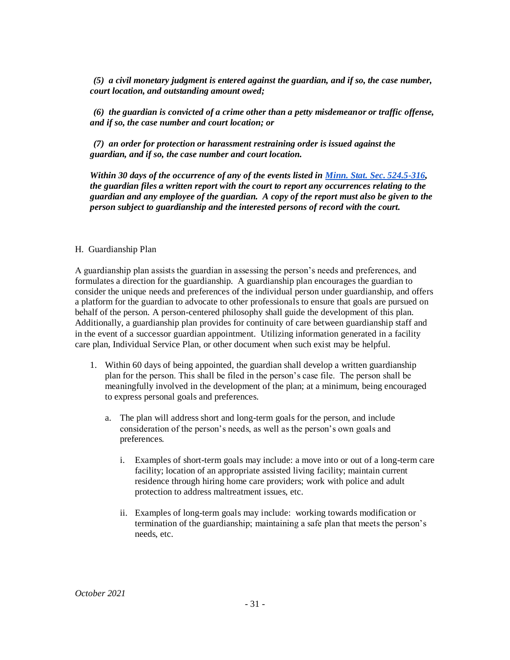*(5) a civil monetary judgment is entered against the guardian, and if so, the case number, court location, and outstanding amount owed;*

 *(6) the guardian is convicted of a crime other than a petty misdemeanor or traffic offense, and if so, the case number and court location; or*

 *(7) an order for protection or harassment restraining order is issued against the guardian, and if so, the case number and court location.*

*Within 30 days of the occurrence of any of the events listed in [Minn. Stat. Sec. 524.5-316,](https://www.revisor.mn.gov/statutes/cite/524.5-316) the guardian files a written report with the court to report any occurrences relating to the guardian and any employee of the guardian. A copy of the report must also be given to the person subject to guardianship and the interested persons of record with the court.*

#### H. Guardianship Plan

A guardianship plan assists the guardian in assessing the person's needs and preferences, and formulates a direction for the guardianship. A guardianship plan encourages the guardian to consider the unique needs and preferences of the individual person under guardianship, and offers a platform for the guardian to advocate to other professionals to ensure that goals are pursued on behalf of the person. A person-centered philosophy shall guide the development of this plan. Additionally, a guardianship plan provides for continuity of care between guardianship staff and in the event of a successor guardian appointment. Utilizing information generated in a facility care plan, Individual Service Plan, or other document when such exist may be helpful.

- 1. Within 60 days of being appointed, the guardian shall develop a written guardianship plan for the person. This shall be filed in the person's case file. The person shall be meaningfully involved in the development of the plan; at a minimum, being encouraged to express personal goals and preferences.
	- a. The plan will address short and long-term goals for the person, and include consideration of the person's needs, as well as the person's own goals and preferences*.* 
		- i. Examples of short-term goals may include: a move into or out of a long-term care facility; location of an appropriate assisted living facility; maintain current residence through hiring home care providers; work with police and adult protection to address maltreatment issues, etc.
		- ii. Examples of long-term goals may include: working towards modification or termination of the guardianship; maintaining a safe plan that meets the person's needs, etc.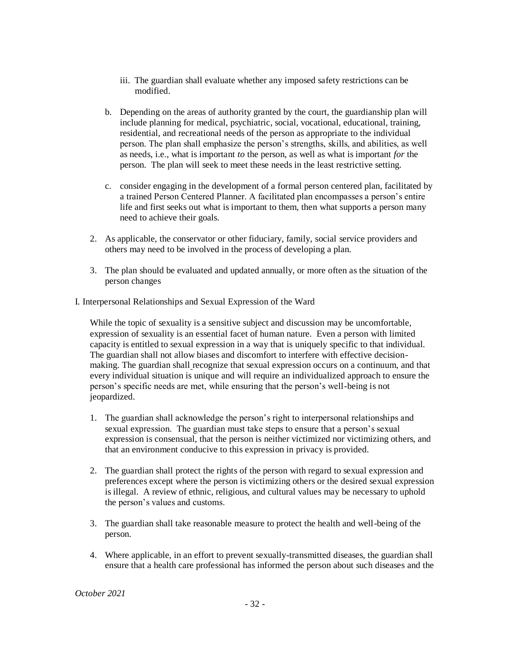- iii. The guardian shall evaluate whether any imposed safety restrictions can be modified.
- b. Depending on the areas of authority granted by the court, the guardianship plan will include planning for medical, psychiatric, social, vocational, educational, training, residential, and recreational needs of the person as appropriate to the individual person. The plan shall emphasize the person's strengths, skills, and abilities, as well as needs, i.e., what is important *to* the person, as well as what is important *for* the person. The plan will seek to meet these needs in the least restrictive setting.
- c. consider engaging in the development of a formal person centered plan, facilitated by a trained Person Centered Planner. A facilitated plan encompasses a person's entire life and first seeks out what is important to them, then what supports a person many need to achieve their goals.
- 2. As applicable, the conservator or other fiduciary, family, social service providers and others may need to be involved in the process of developing a plan.
- 3. The plan should be evaluated and updated annually, or more often as the situation of the person changes
- I. Interpersonal Relationships and Sexual Expression of the Ward

While the topic of sexuality is a sensitive subject and discussion may be uncomfortable, expression of sexuality is an essential facet of human nature. Even a person with limited capacity is entitled to sexual expression in a way that is uniquely specific to that individual. The guardian shall not allow biases and discomfort to interfere with effective decisionmaking. The guardian shall recognize that sexual expression occurs on a continuum, and that every individual situation is unique and will require an individualized approach to ensure the person's specific needs are met, while ensuring that the person's well-being is not jeopardized.

- 1. The guardian shall acknowledge the person's right to interpersonal relationships and sexual expression. The guardian must take steps to ensure that a person's sexual expression is consensual, that the person is neither victimized nor victimizing others, and that an environment conducive to this expression in privacy is provided.
- 2. The guardian shall protect the rights of the person with regard to sexual expression and preferences except where the person is victimizing others or the desired sexual expression is illegal. A review of ethnic, religious, and cultural values may be necessary to uphold the person's values and customs.
- 3. The guardian shall take reasonable measure to protect the health and well-being of the person.
- 4. Where applicable, in an effort to prevent sexually-transmitted diseases, the guardian shall ensure that a health care professional has informed the person about such diseases and the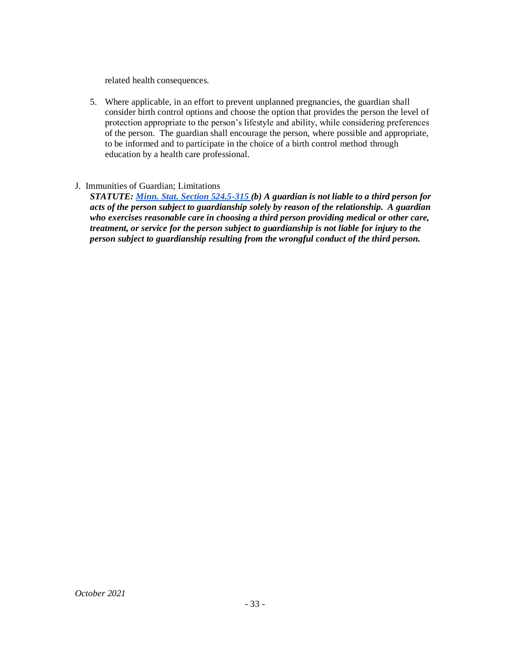related health consequences.

5. Where applicable, in an effort to prevent unplanned pregnancies, the guardian shall consider birth control options and choose the option that provides the person the level of protection appropriate to the person's lifestyle and ability, while considering preferences of the person. The guardian shall encourage the person, where possible and appropriate, to be informed and to participate in the choice of a birth control method through education by a health care professional.

#### J. Immunities of Guardian; Limitations

*STATUTE: [Minn. Stat. Section 524.5-315 \(](https://www.revisor.mn.gov/statutes/cite/524.5-315)b) A guardian is not liable to a third person for acts of the person subject to guardianship solely by reason of the relationship. A guardian who exercises reasonable care in choosing a third person providing medical or other care, treatment, or service for the person subject to guardianship is not liable for injury to the person subject to guardianship resulting from the wrongful conduct of the third person.*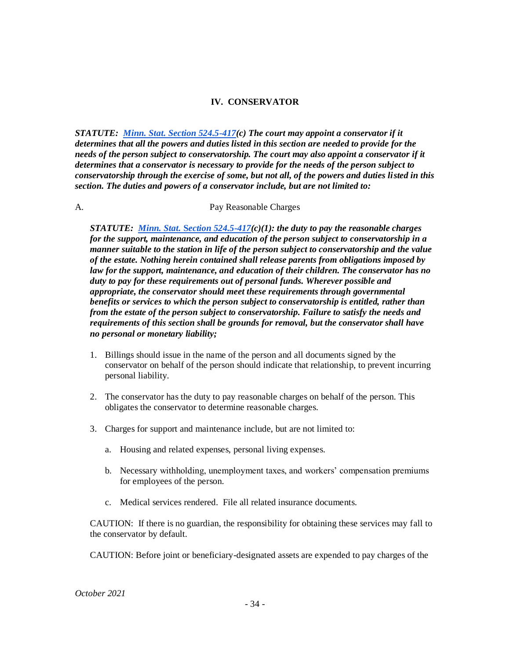#### **IV. CONSERVATOR**

*STATUTE: [Minn. Stat. Section 524.5-417\(](https://www.revisor.mn.gov/statutes/cite/524.5-417)c) The court may appoint a conservator if it determines that all the powers and duties listed in this section are needed to provide for the needs of the person subject to conservatorship. The court may also appoint a conservator if it determines that a conservator is necessary to provide for the needs of the person subject to conservatorship through the exercise of some, but not all, of the powers and duties listed in this section. The duties and powers of a conservator include, but are not limited to:*

A. Pay Reasonable Charges

**[S](https://www.revisor.mn.gov/statutes/cite/524.5-417)TATUTE:** [Minn. Stat.](https://www.revisor.mn.gov/statutes/cite/524.5-417) Section  $524.5-417(c)(1)$ : the duty to pay the reasonable charges *for the support, maintenance, and education of the person subject to conservatorship in a manner suitable to the station in life of the person subject to conservatorship and the value of the estate. Nothing herein contained shall release parents from obligations imposed by law for the support, maintenance, and education of their children. The conservator has no duty to pay for these requirements out of personal funds. Wherever possible and appropriate, the conservator should meet these requirements through governmental benefits or services to which the person subject to conservatorship is entitled, rather than from the estate of the person subject to conservatorship. Failure to satisfy the needs and requirements of this section shall be grounds for removal, but the conservator shall have no personal or monetary liability;*

- 1. Billings should issue in the name of the person and all documents signed by the conservator on behalf of the person should indicate that relationship, to prevent incurring personal liability.
- 2. The conservator has the duty to pay reasonable charges on behalf of the person. This obligates the conservator to determine reasonable charges.
- 3. Charges for support and maintenance include, but are not limited to:
	- a. Housing and related expenses, personal living expenses.
	- b. Necessary withholding, unemployment taxes, and workers' compensation premiums for employees of the person.
	- c. Medical services rendered. File all related insurance documents.

CAUTION: If there is no guardian, the responsibility for obtaining these services may fall to the conservator by default.

CAUTION: Before joint or beneficiary-designated assets are expended to pay charges of the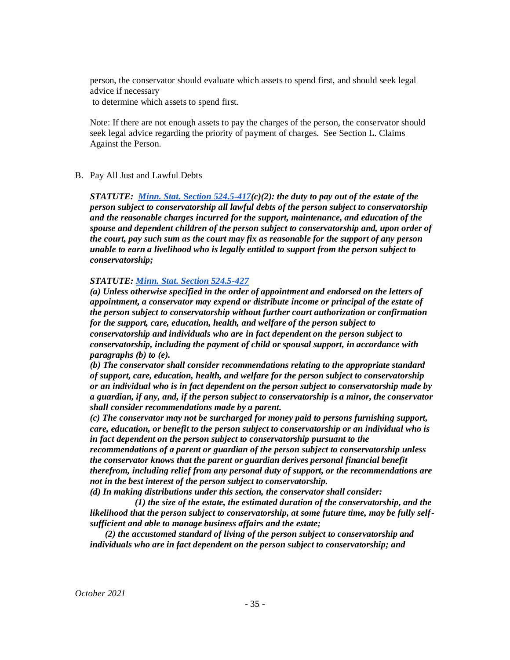person, the conservator should evaluate which assets to spend first, and should seek legal advice if necessary

to determine which assets to spend first.

Note: If there are not enough assets to pay the charges of the person, the conservator should seek legal advice regarding the priority of payment of charges. See Section L. Claims Against the Person.

#### B. Pay All Just and Lawful Debts

**[S](https://www.revisor.mn.gov/statutes/cite/524.5-417)TATUTE:** *[Minn. Stat.](https://www.revisor.mn.gov/statutes/cite/524.5-417)* Section  $524.5-417(c)(2)$ : the duty to pay out of the estate of the *person subject to conservatorship all lawful debts of the person subject to conservatorship and the reasonable charges incurred for the support, maintenance, and education of the spouse and dependent children of the person subject to conservatorship and, upon order of the court, pay such sum as the court may fix as reasonable for the support of any person unable to earn a livelihood who is legally entitled to support from the person subject to conservatorship;*

#### *STATUTE: [Minn. Stat. Section 524.5-427](https://www.revisor.mn.gov/statutes/cite/524.5-427)*

*(a) Unless otherwise specified in the order of appointment and endorsed on the letters of appointment, a conservator may expend or distribute income or principal of the estate of the person subject to conservatorship without further court authorization or confirmation for the support, care, education, health, and welfare of the person subject to conservatorship and individuals who are in fact dependent on the person subject to conservatorship, including the payment of child or spousal support, in accordance with paragraphs (b) to (e).*

*(b) The conservator shall consider recommendations relating to the appropriate standard of support, care, education, health, and welfare for the person subject to conservatorship or an individual who is in fact dependent on the person subject to conservatorship made by a guardian, if any, and, if the person subject to conservatorship is a minor, the conservator shall consider recommendations made by a parent.*

*(c) The conservator may not be surcharged for money paid to persons furnishing support, care, education, or benefit to the person subject to conservatorship or an individual who is in fact dependent on the person subject to conservatorship pursuant to the* 

*recommendations of a parent or guardian of the person subject to conservatorship unless the conservator knows that the parent or guardian derives personal financial benefit therefrom, including relief from any personal duty of support, or the recommendations are not in the best interest of the person subject to conservatorship.*

*(d) In making distributions under this section, the conservator shall consider:*

*(1) the size of the estate, the estimated duration of the conservatorship, and the likelihood that the person subject to conservatorship, at some future time, may be fully selfsufficient and able to manage business affairs and the estate;*

*(2) the accustomed standard of living of the person subject to conservatorship and individuals who are in fact dependent on the person subject to conservatorship; and*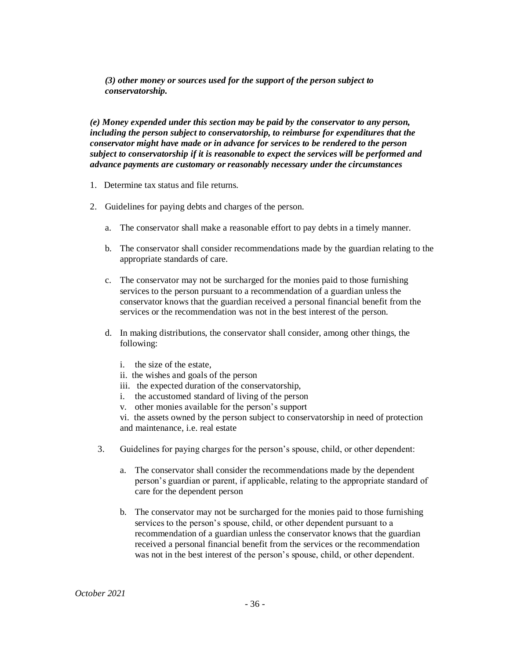*(3) other money or sources used for the support of the person subject to conservatorship.*

*(e) Money expended under this section may be paid by the conservator to any person, including the person subject to conservatorship, to reimburse for expenditures that the conservator might have made or in advance for services to be rendered to the person subject to conservatorship if it is reasonable to expect the services will be performed and advance payments are customary or reasonably necessary under the circumstances*

- 1. Determine tax status and file returns.
- 2. Guidelines for paying debts and charges of the person.
	- a. The conservator shall make a reasonable effort to pay debts in a timely manner.
	- b. The conservator shall consider recommendations made by the guardian relating to the appropriate standards of care.
	- c. The conservator may not be surcharged for the monies paid to those furnishing services to the person pursuant to a recommendation of a guardian unless the conservator knows that the guardian received a personal financial benefit from the services or the recommendation was not in the best interest of the person.
	- d. In making distributions, the conservator shall consider, among other things, the following:
		- i. the size of the estate,
		- ii. the wishes and goals of the person
		- iii. the expected duration of the conservatorship,
		- i. the accustomed standard of living of the person
		- v. other monies available for the person's support

vi. the assets owned by the person subject to conservatorship in need of protection and maintenance, i.e. real estate

- 3. Guidelines for paying charges for the person's spouse, child, or other dependent:
	- a. The conservator shall consider the recommendations made by the dependent person's guardian or parent, if applicable, relating to the appropriate standard of care for the dependent person
	- b. The conservator may not be surcharged for the monies paid to those furnishing services to the person's spouse, child, or other dependent pursuant to a recommendation of a guardian unless the conservator knows that the guardian received a personal financial benefit from the services or the recommendation was not in the best interest of the person's spouse, child, or other dependent.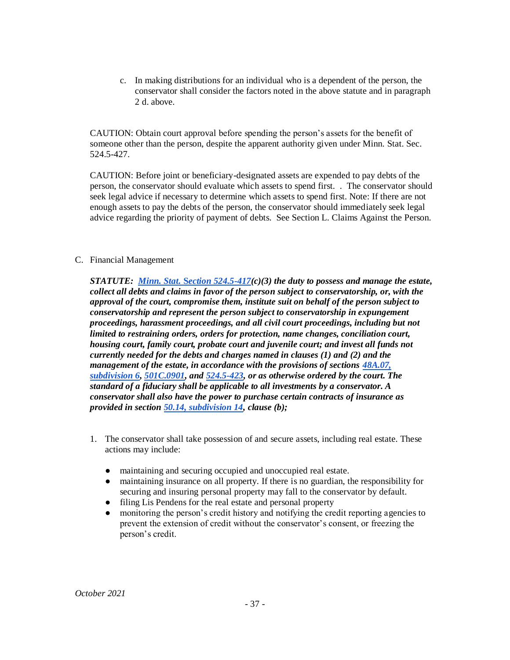c. In making distributions for an individual who is a dependent of the person, the conservator shall consider the factors noted in the above statute and in paragraph 2 d. above.

CAUTION: Obtain court approval before spending the person's assets for the benefit of someone other than the person, despite the apparent authority given under Minn. Stat. Sec. 524.5-427.

CAUTION: Before joint or beneficiary-designated assets are expended to pay debts of the person, the conservator should evaluate which assets to spend first. . The conservator should seek legal advice if necessary to determine which assets to spend first. Note: If there are not enough assets to pay the debts of the person, the conservator should immediately seek legal advice regarding the priority of payment of debts. See Section L. Claims Against the Person.

#### C. Financial Management

*STATUTE: [Minn. Stat.](https://www.revisor.mn.gov/statutes/cite/524.5-417)* **[S](https://www.revisor.mn.gov/statutes/cite/524.5-417)***[ection 524.5-417\(](https://www.revisor.mn.gov/statutes/cite/524.5-417)c)(3) the duty to possess and manage the estate, collect all debts and claims in favor of the person subject to conservatorship, or, with the approval of the court, compromise them, institute suit on behalf of the person subject to conservatorship and represent the person subject to conservatorship in expungement proceedings, harassment proceedings, and all civil court proceedings, including but not limited to restraining orders, orders for protection, name changes, conciliation court, housing court, family court, probate court and juvenile court; and invest all funds not currently needed for the debts and charges named in clauses (1) and (2) and the management of the estate, in accordance with the provisions of section[s](https://www.revisor.mn.gov/statutes/cite/48A.07#stat.48A.07.6) [48A.07,](https://www.revisor.mn.gov/statutes/cite/48A.07#stat.48A.07.6)  [subdivision 6](https://www.revisor.mn.gov/statutes/cite/48A.07#stat.48A.07.6)[,](https://www.revisor.mn.gov/statutes/cite/501C.0901) [501C.0901,](https://www.revisor.mn.gov/statutes/cite/501C.0901) an[d](https://www.revisor.mn.gov/statutes/cite/524.5-423) [524.5-423,](https://www.revisor.mn.gov/statutes/cite/524.5-423) or as otherwise ordered by the court. The standard of a fiduciary shall be applicable to all investments by a conservator. A conservator shall also have the power to purchase certain contracts of insurance as provided in sectio[n](https://www.revisor.mn.gov/statutes/cite/50.14#stat.50.14.14) [50.14, subdivision 14,](https://www.revisor.mn.gov/statutes/cite/50.14#stat.50.14.14) clause (b);*

- 1. The conservator shall take possession of and secure assets, including real estate. These actions may include:
	- maintaining and securing occupied and unoccupied real estate.
	- maintaining insurance on all property. If there is no guardian, the responsibility for securing and insuring personal property may fall to the conservator by default.
	- filing Lis Pendens for the real estate and personal property
	- monitoring the person's credit history and notifying the credit reporting agencies to prevent the extension of credit without the conservator's consent, or freezing the person's credit.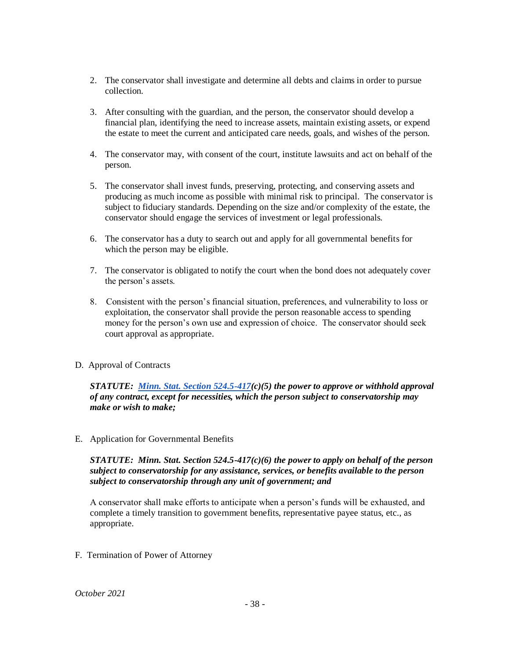- 2. The conservator shall investigate and determine all debts and claims in order to pursue collection.
- 3. After consulting with the guardian, and the person, the conservator should develop a financial plan, identifying the need to increase assets, maintain existing assets, or expend the estate to meet the current and anticipated care needs, goals, and wishes of the person.
- 4. The conservator may, with consent of the court, institute lawsuits and act on behalf of the person.
- 5. The conservator shall invest funds, preserving, protecting, and conserving assets and producing as much income as possible with minimal risk to principal. The conservator is subject to fiduciary standards. Depending on the size and/or complexity of the estate, the conservator should engage the services of investment or legal professionals.
- 6. The conservator has a duty to search out and apply for all governmental benefits for which the person may be eligible.
- 7. The conservator is obligated to notify the court when the bond does not adequately cover the person's assets.
- 8. Consistent with the person's financial situation, preferences, and vulnerability to loss or exploitation, the conservator shall provide the person reasonable access to spending money for the person's own use and expression of choice. The conservator should seek court approval as appropriate.
- D. Approval of Contracts

*STATUTE: [Minn. Stat. Section 524.5-417\(](https://www.revisor.mn.gov/statutes/cite/524.5-417)c)(5) the power to approve or withhold approval of any contract, except for necessities, which the person subject to conservatorship may make or wish to make;*

E. Application for Governmental Benefits

*STATUTE: Minn. Stat. Section 524.5-417(c)(6) the power to apply on behalf of the person subject to conservatorship for any assistance, services, or benefits available to the person subject to conservatorship through any unit of government; and*

A conservator shall make efforts to anticipate when a person's funds will be exhausted, and complete a timely transition to government benefits, representative payee status, etc., as appropriate.

F. Termination of Power of Attorney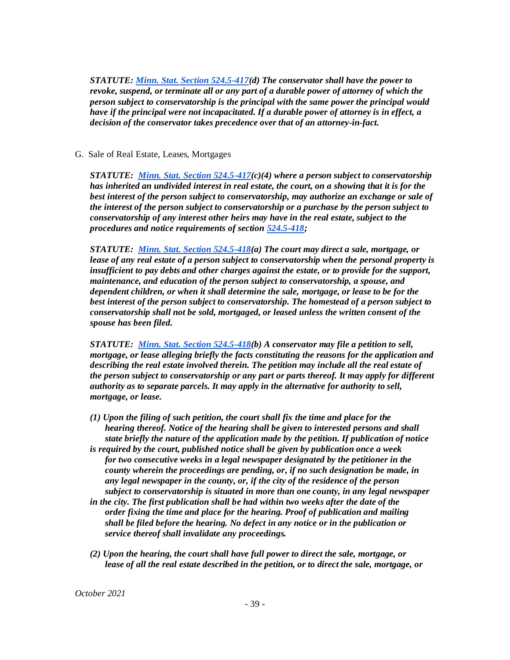*STATUTE: [Minn. Stat. Section 524.5-417\(](https://www.revisor.mn.gov/statutes/cite/524.5-417)d) The conservator shall have the power to revoke, suspend, or terminate all or any part of a durable power of attorney of which the person subject to conservatorship is the principal with the same power the principal would have if the principal were not incapacitated. If a durable power of attorney is in effect, a decision of the conservator takes precedence over that of an attorney-in-fact.*

#### G. Sale of Real Estate, Leases, Mortgages

*STATUTE: [Minn. Stat. Section 524.5-417\(](https://www.revisor.mn.gov/statutes/cite/524.5-417)c)(4) where a person subject to conservatorship has inherited an undivided interest in real estate, the court, on a showing that it is for the best interest of the person subject to conservatorship, may authorize an exchange or sale of the interest of the person subject to conservatorship or a purchase by the person subject to conservatorship of any interest other heirs may have in the real estate, subject to the procedures and notice requirements of sectio[n](https://www.revisor.mn.gov/statutes/cite/524.5-418) [524.5-418;](https://www.revisor.mn.gov/statutes/cite/524.5-418)*

*STATUTE: [Minn. Stat. Section 524.5-418\(](https://www.revisor.mn.gov/statutes/cite/524.5-418)a) The court may direct a sale, mortgage, or lease of any real estate of a person subject to conservatorship when the personal property is insufficient to pay debts and other charges against the estate, or to provide for the support, maintenance, and education of the person subject to conservatorship, a spouse, and dependent children, or when it shall determine the sale, mortgage, or lease to be for the best interest of the person subject to conservatorship. The homestead of a person subject to conservatorship shall not be sold, mortgaged, or leased unless the written consent of the spouse has been filed.*

*STATUTE: [Minn. Stat. Section 524.5-418\(](https://www.revisor.mn.gov/statutes/cite/524.5-418)b) A conservator may file a petition to sell, mortgage, or lease alleging briefly the facts constituting the reasons for the application and describing the real estate involved therein. The petition may include all the real estate of the person subject to conservatorship or any part or parts thereof. It may apply for different authority as to separate parcels. It may apply in the alternative for authority to sell, mortgage, or lease.*

- *(1) Upon the filing of such petition, the court shall fix the time and place for the hearing thereof. Notice of the hearing shall be given to interested persons and shall state briefly the nature of the application made by the petition. If publication of notice is required by the court, published notice shall be given by publication once a week for two consecutive weeks in a legal newspaper designated by the petitioner in the county wherein the proceedings are pending, or, if no such designation be made, in any legal newspaper in the county, or, if the city of the residence of the person subject to conservatorship is situated in more than one county, in any legal newspaper*
- *in the city. The first publication shall be had within two weeks after the date of the order fixing the time and place for the hearing. Proof of publication and mailing shall be filed before the hearing. No defect in any notice or in the publication or service thereof shall invalidate any proceedings.*
- *(2) Upon the hearing, the court shall have full power to direct the sale, mortgage, or lease of all the real estate described in the petition, or to direct the sale, mortgage, or*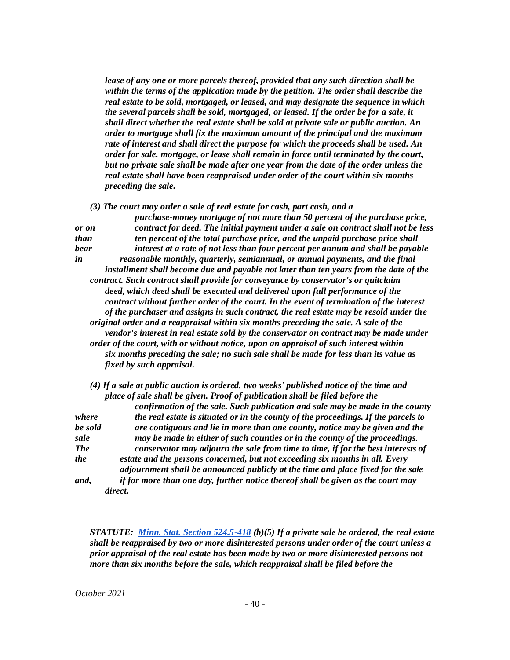*lease of any one or more parcels thereof, provided that any such direction shall be within the terms of the application made by the petition. The order shall describe the real estate to be sold, mortgaged, or leased, and may designate the sequence in which the several parcels shall be sold, mortgaged, or leased. If the order be for a sale, it shall direct whether the real estate shall be sold at private sale or public auction. An order to mortgage shall fix the maximum amount of the principal and the maximum rate of interest and shall direct the purpose for which the proceeds shall be used. An order for sale, mortgage, or lease shall remain in force until terminated by the court, but no private sale shall be made after one year from the date of the order unless the real estate shall have been reappraised under order of the court within six months preceding the sale.*

*(3) The court may order a sale of real estate for cash, part cash, and a* 

*purchase-money mortgage of not more than 50 percent of the purchase price, or on contract for deed. The initial payment under a sale on contract shall not be less than ten percent of the total purchase price, and the unpaid purchase price shall bear interest at a rate of not less than four percent per annum and shall be payable in reasonable monthly, quarterly, semiannual, or annual payments, and the final installment shall become due and payable not later than ten years from the date of the contract. Such contract shall provide for conveyance by conservator's or quitclaim deed, which deed shall be executed and delivered upon full performance of the contract without further order of the court. In the event of termination of the interest of the purchaser and assigns in such contract, the real estate may be resold under the original order and a reappraisal within six months preceding the sale. A sale of the vendor's interest in real estate sold by the conservator on contract may be made under order of the court, with or without notice, upon an appraisal of such interest within six months preceding the sale; no such sale shall be made for less than its value as fixed by such appraisal.*

*(4) If a sale at public auction is ordered, two weeks' published notice of the time and place of sale shall be given. Proof of publication shall be filed before the confirmation of the sale. Such publication and sale may be made in the county where the real estate is situated or in the county of the proceedings. If the parcels to be sold are contiguous and lie in more than one county, notice may be given and the sale may be made in either of such counties or in the county of the proceedings. The conservator may adjourn the sale from time to time, if for the best interests of the estate and the persons concerned, but not exceeding six months in all. Every adjournment shall be announced publicly at the time and place fixed for the sale and, if for more than one day, further notice thereof shall be given as the court may direct.*

*STATUTE: [Minn. Stat. Section 524.5-418](https://www.revisor.mn.gov/statutes/cite/524.5-418) (b)(5) If a private sale be ordered, the real estate shall be reappraised by two or more disinterested persons under order of the court unless a prior appraisal of the real estate has been made by two or more disinterested persons not more than six months before the sale, which reappraisal shall be filed before the*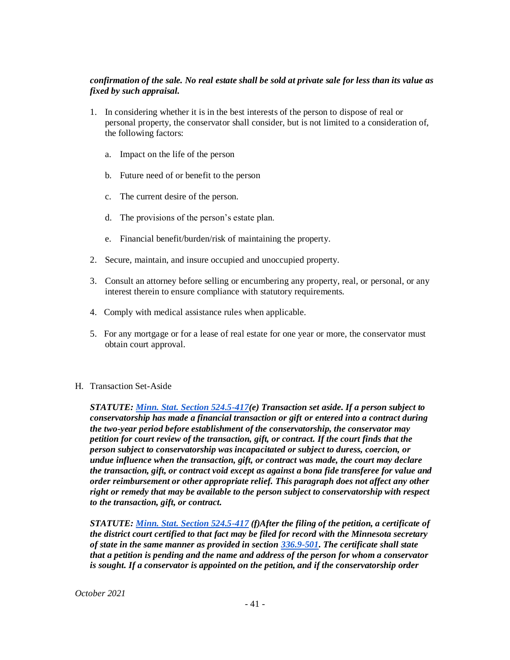#### *confirmation of the sale. No real estate shall be sold at private sale for less than its value as fixed by such appraisal.*

- 1. In considering whether it is in the best interests of the person to dispose of real or personal property, the conservator shall consider, but is not limited to a consideration of, the following factors:
	- a. Impact on the life of the person
	- b. Future need of or benefit to the person
	- c. The current desire of the person.
	- d. The provisions of the person's estate plan.
	- e. Financial benefit/burden/risk of maintaining the property.
- 2. Secure, maintain, and insure occupied and unoccupied property.
- 3. Consult an attorney before selling or encumbering any property, real, or personal, or any interest therein to ensure compliance with statutory requirements.
- 4. Comply with medical assistance rules when applicable.
- 5. For any mortgage or for a lease of real estate for one year or more, the conservator must obtain court approval.
- H. Transaction Set-Aside

*STATUTE: [Minn. Stat. Section 524.5-417\(](https://www.revisor.mn.gov/statutes/cite/524.5-417)e) Transaction set aside. If a person subject to conservatorship has made a financial transaction or gift or entered into a contract during the two-year period before establishment of the conservatorship, the conservator may petition for court review of the transaction, gift, or contract. If the court finds that the person subject to conservatorship was incapacitated or subject to duress, coercion, or undue influence when the transaction, gift, or contract was made, the court may declare the transaction, gift, or contract void except as against a bona fide transferee for value and order reimbursement or other appropriate relief. This paragraph does not affect any other right or remedy that may be available to the person subject to conservatorship with respect to the transaction, gift, or contract.*

*STATUTE: [Minn. Stat. Section 524.5-417](https://www.revisor.mn.gov/statutes/cite/524.5-417) (f)After the filing of the petition, a certificate of the district court certified to that fact may be filed for record with the Minnesota secretary of state in the same manner as provided in sectio[n](https://www.revisor.mn.gov/statutes/cite/336.9-501) [336.9-501.](https://www.revisor.mn.gov/statutes/cite/336.9-501) The certificate shall state that a petition is pending and the name and address of the person for whom a conservator is sought. If a conservator is appointed on the petition, and if the conservatorship order*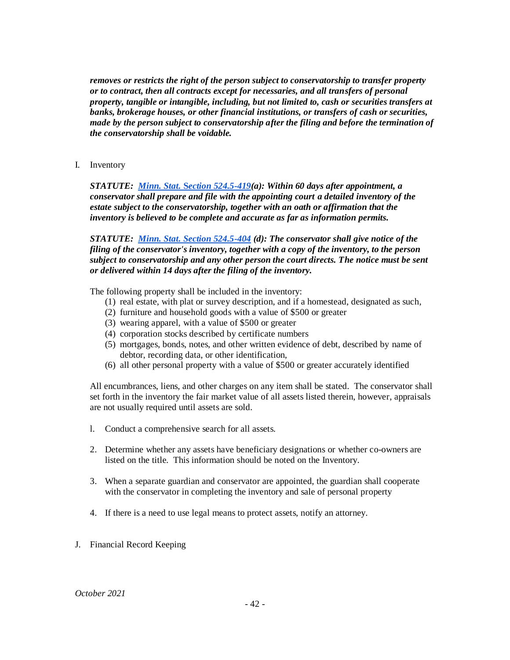*removes or restricts the right of the person subject to conservatorship to transfer property or to contract, then all contracts except for necessaries, and all transfers of personal property, tangible or intangible, including, but not limited to, cash or securities transfers at banks, brokerage houses, or other financial institutions, or transfers of cash or securities, made by the person subject to conservatorship after the filing and before the termination of the conservatorship shall be voidable.*

I. Inventory

*STATUTE: [Minn. Stat.](https://www.revisor.mn.gov/statutes/cite/524.5-419)* **[S](https://www.revisor.mn.gov/statutes/cite/524.5-419)***[ection 524.5-419\(](https://www.revisor.mn.gov/statutes/cite/524.5-419)a): Within 60 days after appointment, a conservator shall prepare and file with the appointing court a detailed inventory of the estate subject to the conservatorship, together with an oath or affirmation that the inventory is believed to be complete and accurate as far as information permits.*

*STATUTE: [Minn. Stat. Section 524.5-404](https://www.revisor.mn.gov/statutes/cite/524.5-404) (d): The conservator shall give notice of the filing of the conservator's inventory, together with a copy of the inventory, to the person subject to conservatorship and any other person the court directs. The notice must be sent or delivered within 14 days after the filing of the inventory.*

The following property shall be included in the inventory:

- (1) real estate, with plat or survey description, and if a homestead, designated as such,
- (2) furniture and household goods with a value of \$500 or greater
- (3) wearing apparel, with a value of \$500 or greater
- (4) corporation stocks described by certificate numbers
- (5) mortgages, bonds, notes, and other written evidence of debt, described by name of debtor, recording data, or other identification,
- (6) all other personal property with a value of \$500 or greater accurately identified

All encumbrances, liens, and other charges on any item shall be stated. The conservator shall set forth in the inventory the fair market value of all assets listed therein, however, appraisals are not usually required until assets are sold.

- l. Conduct a comprehensive search for all assets.
- 2. Determine whether any assets have beneficiary designations or whether co-owners are listed on the title. This information should be noted on the Inventory.
- 3. When a separate guardian and conservator are appointed, the guardian shall cooperate with the conservator in completing the inventory and sale of personal property
- 4. If there is a need to use legal means to protect assets, notify an attorney.
- J. Financial Record Keeping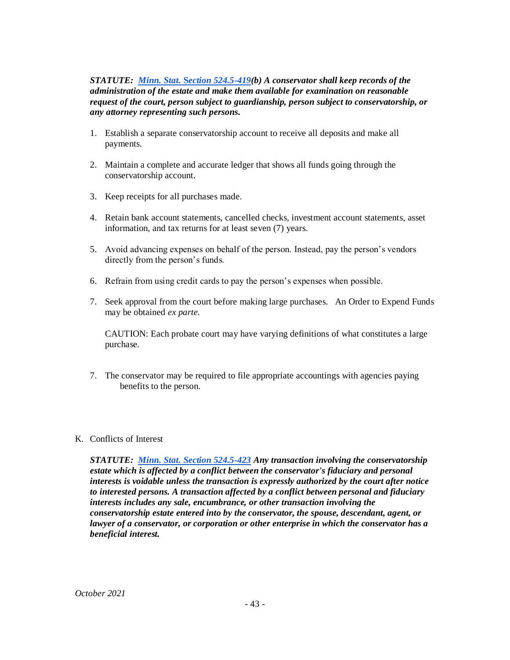*STATUTE: [Minn. Stat.](https://www.revisor.mn.gov/statutes/cite/524.5-419)* **[S](https://www.revisor.mn.gov/statutes/cite/524.5-419)***[ection 524.5-419\(](https://www.revisor.mn.gov/statutes/cite/524.5-419)b) A conservator shall keep records of the administration of the estate and make them available for examination on reasonable request of the court, person subject to guardianship, person subject to conservatorship, or any attorney representing such persons.*

- 1. Establish a separate conservatorship account to receive all deposits and make all payments.
- 2. Maintain a complete and accurate ledger that shows all funds going through the conservatorship account.
- 3. Keep receipts for all purchases made.
- 4. Retain bank account statements, cancelled checks, investment account statements, asset information, and tax returns for at least seven (7) years.
- 5. Avoid advancing expenses on behalf of the person. Instead, pay the person's vendors directly from the person's funds.
- 6. Refrain from using credit cards to pay the person's expenses when possible.
- 7. Seek approval from the court before making large purchases. An Order to Expend Funds may be obtained *ex parte.*

CAUTION: Each probate court may have varying definitions of what constitutes a large purchase.

7. The conservator may be required to file appropriate accountings with agencies paying benefits to the person.

#### K. Conflicts of Interest

*STATUTE: [Minn. Stat. Section 524.5-423](https://www.revisor.mn.gov/statutes/cite/524.5-423) Any transaction involving the conservatorship estate which is affected by a conflict between the conservator's fiduciary and personal interests is voidable unless the transaction is expressly authorized by the court after notice to interested persons. A transaction affected by a conflict between personal and fiduciary interests includes any sale, encumbrance, or other transaction involving the conservatorship estate entered into by the conservator, the spouse, descendant, agent, or lawyer of a conservator, or corporation or other enterprise in which the conservator has a beneficial interest.*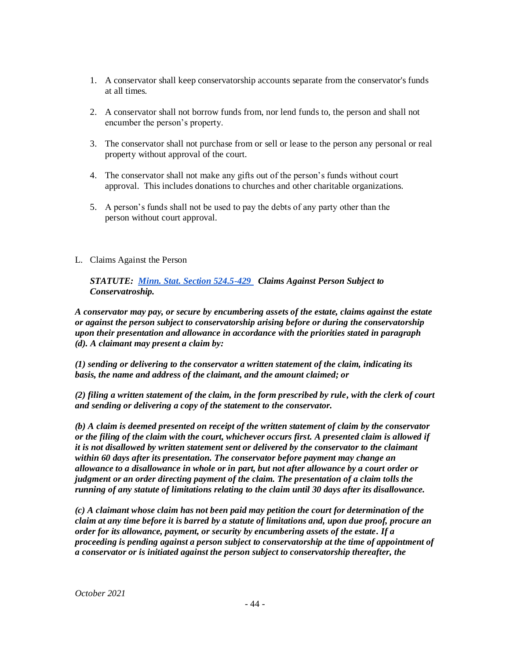- 1. A conservator shall keep conservatorship accounts separate from the conservator's funds at all times.
- 2. A conservator shall not borrow funds from, nor lend funds to, the person and shall not encumber the person's property.
- 3. The conservator shall not purchase from or sell or lease to the person any personal or real property without approval of the court.
- 4. The conservator shall not make any gifts out of the person's funds without court approval. This includes donations to churches and other charitable organizations.
- 5. A person's funds shall not be used to pay the debts of any party other than the person without court approval.
- L. Claims Against the Person

*STATUTE: [Minn. Stat. Section 524.5-429](https://www.revisor.mn.gov/statutes/cite/524.5-429) Claims Against Person Subject to Conservatroship.*

*A conservator may pay, or secure by encumbering assets of the estate, claims against the estate or against the person subject to conservatorship arising before or during the conservatorship upon their presentation and allowance in accordance with the priorities stated in paragraph (d). A claimant may present a claim by:*

*(1) sending or delivering to the conservator a written statement of the claim, indicating its basis, the name and address of the claimant, and the amount claimed; or*

*(2) filing a written statement of the claim, in the form prescribed by rule, with the clerk of court and sending or delivering a copy of the statement to the conservator.*

*(b) A claim is deemed presented on receipt of the written statement of claim by the conservator or the filing of the claim with the court, whichever occurs first. A presented claim is allowed if it is not disallowed by written statement sent or delivered by the conservator to the claimant within 60 days after its presentation. The conservator before payment may change an allowance to a disallowance in whole or in part, but not after allowance by a court order or judgment or an order directing payment of the claim. The presentation of a claim tolls the running of any statute of limitations relating to the claim until 30 days after its disallowance.*

*(c) A claimant whose claim has not been paid may petition the court for determination of the claim at any time before it is barred by a statute of limitations and, upon due proof, procure an order for its allowance, payment, or security by encumbering assets of the estate. If a proceeding is pending against a person subject to conservatorship at the time of appointment of a conservator or is initiated against the person subject to conservatorship thereafter, the*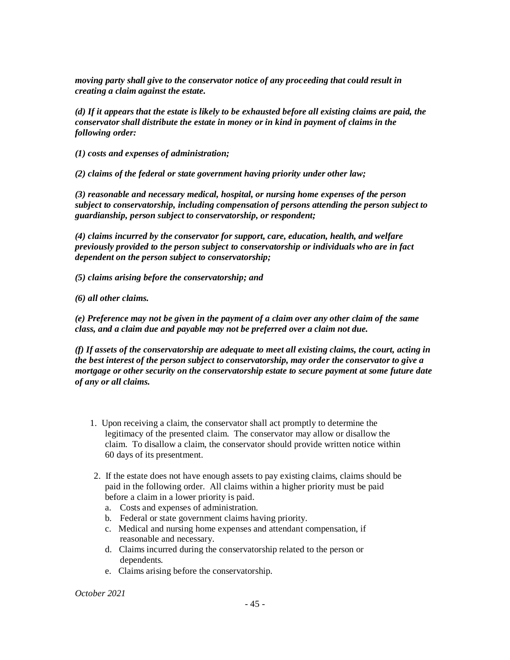*moving party shall give to the conservator notice of any proceeding that could result in creating a claim against the estate.*

*(d) If it appears that the estate is likely to be exhausted before all existing claims are paid, the conservator shall distribute the estate in money or in kind in payment of claims in the following order:*

*(1) costs and expenses of administration;*

*(2) claims of the federal or state government having priority under other law;*

*(3) reasonable and necessary medical, hospital, or nursing home expenses of the person subject to conservatorship, including compensation of persons attending the person subject to guardianship, person subject to conservatorship, or respondent;*

*(4) claims incurred by the conservator for support, care, education, health, and welfare previously provided to the person subject to conservatorship or individuals who are in fact dependent on the person subject to conservatorship;*

*(5) claims arising before the conservatorship; and*

*(6) all other claims.*

*(e) Preference may not be given in the payment of a claim over any other claim of the same class, and a claim due and payable may not be preferred over a claim not due.*

*(f) If assets of the conservatorship are adequate to meet all existing claims, the court, acting in the best interest of the person subject to conservatorship, may order the conservator to give a mortgage or other security on the conservatorship estate to secure payment at some future date of any or all claims.*

- 1. Upon receiving a claim, the conservator shall act promptly to determine the legitimacy of the presented claim. The conservator may allow or disallow the claim. To disallow a claim, the conservator should provide written notice within 60 days of its presentment.
- 2. If the estate does not have enough assets to pay existing claims, claims should be paid in the following order. All claims within a higher priority must be paid before a claim in a lower priority is paid.
	- a. Costs and expenses of administration.
	- b. Federal or state government claims having priority.
	- c. Medical and nursing home expenses and attendant compensation, if reasonable and necessary.
	- d. Claims incurred during the conservatorship related to the person or dependents.
	- e. Claims arising before the conservatorship.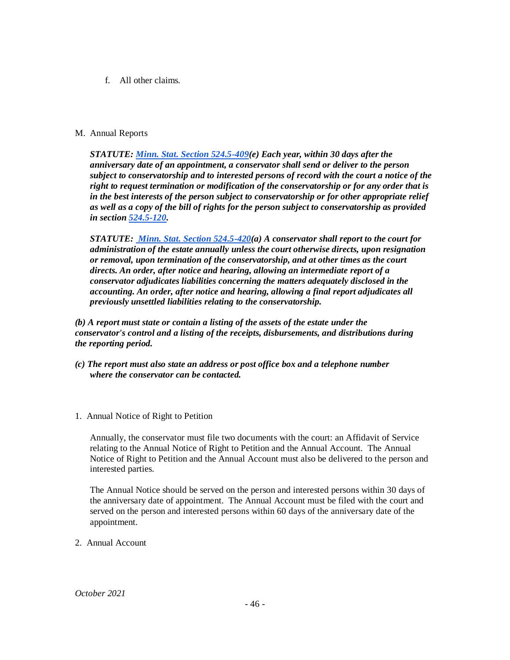f. All other claims.

#### M. Annual Reports

*STATUTE: [Minn. Stat. Section 524.5-409\(](https://www.revisor.mn.gov/statutes/cite/524.5-409)e) Each year, within 30 days after the anniversary date of an appointment, a conservator shall send or deliver to the person subject to conservatorship and to interested persons of record with the court a notice of the right to request termination or modification of the conservatorship or for any order that is in the best interests of the person subject to conservatorship or for other appropriate relief as well as a copy of the bill of rights for the person subject to conservatorship as provided in sectio[n](https://www.revisor.mn.gov/statutes/cite/524.5-120) [524.5-120.](https://www.revisor.mn.gov/statutes/cite/524.5-120)*

*STATUTE: [Minn. Stat. Section 524.5-420\(](https://www.revisor.mn.gov/statutes/cite/524.5-420)a) A conservator shall report to the court for administration of the estate annually unless the court otherwise directs, upon resignation or removal, upon termination of the conservatorship, and at other times as the court directs. An order, after notice and hearing, allowing an intermediate report of a conservator adjudicates liabilities concerning the matters adequately disclosed in the accounting. An order, after notice and hearing, allowing a final report adjudicates all previously unsettled liabilities relating to the conservatorship.*

*(b) A report must state or contain a listing of the assets of the estate under the conservator's control and a listing of the receipts, disbursements, and distributions during the reporting period.*

- *(c) The report must also state an address or post office box and a telephone number where the conservator can be contacted.*
- 1. Annual Notice of Right to Petition

Annually, the conservator must file two documents with the court: an Affidavit of Service relating to the Annual Notice of Right to Petition and the Annual Account. The Annual Notice of Right to Petition and the Annual Account must also be delivered to the person and interested parties.

The Annual Notice should be served on the person and interested persons within 30 days of the anniversary date of appointment. The Annual Account must be filed with the court and served on the person and interested persons within 60 days of the anniversary date of the appointment.

2. Annual Account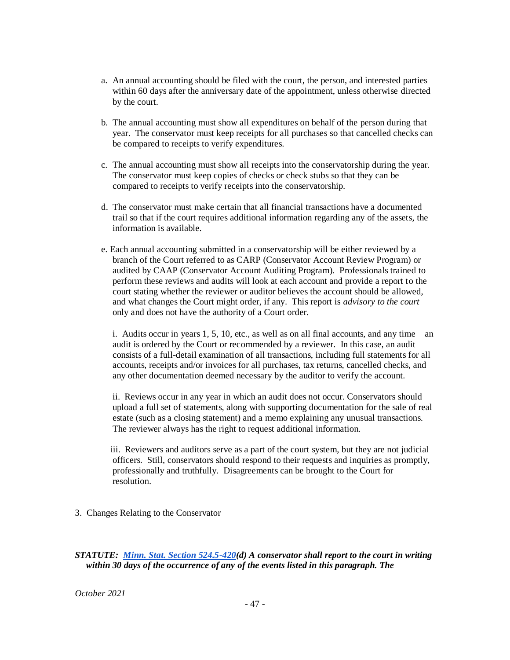- a. An annual accounting should be filed with the court, the person, and interested parties within 60 days after the anniversary date of the appointment, unless otherwise directed by the court.
- b. The annual accounting must show all expenditures on behalf of the person during that year. The conservator must keep receipts for all purchases so that cancelled checks can be compared to receipts to verify expenditures.
- c. The annual accounting must show all receipts into the conservatorship during the year. The conservator must keep copies of checks or check stubs so that they can be compared to receipts to verify receipts into the conservatorship.
- d. The conservator must make certain that all financial transactions have a documented trail so that if the court requires additional information regarding any of the assets, the information is available.
- e. Each annual accounting submitted in a conservatorship will be either reviewed by a branch of the Court referred to as CARP (Conservator Account Review Program) or audited by CAAP (Conservator Account Auditing Program). Professionals trained to perform these reviews and audits will look at each account and provide a report to the court stating whether the reviewer or auditor believes the account should be allowed, and what changes the Court might order, if any. This report is *advisory to the court*  only and does not have the authority of a Court order.

i. Audits occur in years 1, 5, 10, etc., as well as on all final accounts, and any time an audit is ordered by the Court or recommended by a reviewer. In this case, an audit consists of a full-detail examination of all transactions, including full statements for all accounts, receipts and/or invoices for all purchases, tax returns, cancelled checks, and any other documentation deemed necessary by the auditor to verify the account.

ii. Reviews occur in any year in which an audit does not occur. Conservators should upload a full set of statements, along with supporting documentation for the sale of real estate (such as a closing statement) and a memo explaining any unusual transactions. The reviewer always has the right to request additional information.

 iii. Reviewers and auditors serve as a part of the court system, but they are not judicial officers. Still, conservators should respond to their requests and inquiries as promptly, professionally and truthfully. Disagreements can be brought to the Court for resolution.

3. Changes Relating to the Conservator

*STATUTE: [Minn. Stat. Section 524.5-420\(](https://www.revisor.mn.gov/statutes/cite/524.5-420)d) A conservator shall report to the court in writing within 30 days of the occurrence of any of the events listed in this paragraph. The*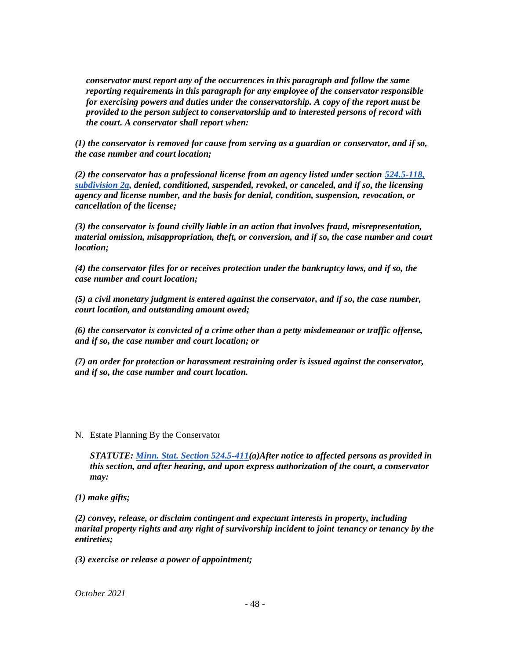*conservator must report any of the occurrences in this paragraph and follow the same reporting requirements in this paragraph for any employee of the conservator responsible for exercising powers and duties under the conservatorship. A copy of the report must be provided to the person subject to conservatorship and to interested persons of record with the court. A conservator shall report when:*

*(1) the conservator is removed for cause from serving as a guardian or conservator, and if so, the case number and court location;*

*(2) the conservator has a professional license from an agency listed under sectio[n](https://www.revisor.mn.gov/statutes/cite/524.5-118#stat.524.5-118.2a) [524.5-118,](https://www.revisor.mn.gov/statutes/cite/524.5-118#stat.524.5-118.2a)  [subdivision 2a,](https://www.revisor.mn.gov/statutes/cite/524.5-118#stat.524.5-118.2a) denied, conditioned, suspended, revoked, or canceled, and if so, the licensing agency and license number, and the basis for denial, condition, suspension, revocation, or cancellation of the license;*

*(3) the conservator is found civilly liable in an action that involves fraud, misrepresentation, material omission, misappropriation, theft, or conversion, and if so, the case number and court location;*

*(4) the conservator files for or receives protection under the bankruptcy laws, and if so, the case number and court location;*

*(5) a civil monetary judgment is entered against the conservator, and if so, the case number, court location, and outstanding amount owed;*

*(6) the conservator is convicted of a crime other than a petty misdemeanor or traffic offense, and if so, the case number and court location; or*

*(7) an order for protection or harassment restraining order is issued against the conservator, and if so, the case number and court location.*

N. Estate Planning By the Conservator

*STATUTE: [Minn. Stat. Section 524.5-411\(](https://www.revisor.mn.gov/statutes/cite/524.5-411)a)After notice to affected persons as provided in this section, and after hearing, and upon express authorization of the court, a conservator may:*

*(1) make gifts;*

*(2) convey, release, or disclaim contingent and expectant interests in property, including marital property rights and any right of survivorship incident to joint tenancy or tenancy by the entireties;*

*(3) exercise or release a power of appointment;*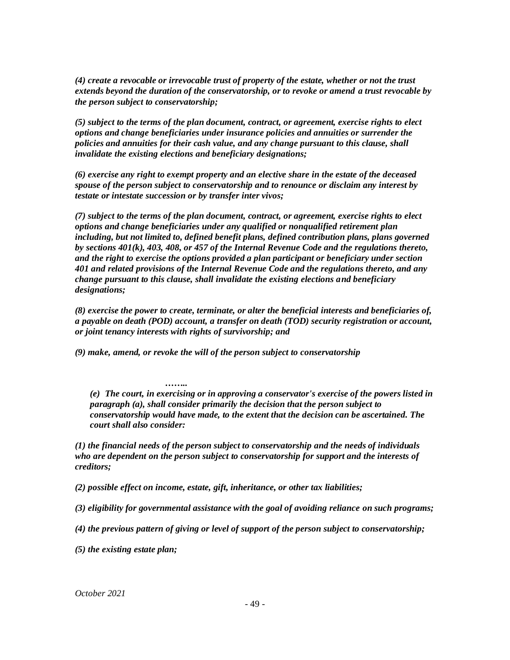*(4) create a revocable or irrevocable trust of property of the estate, whether or not the trust extends beyond the duration of the conservatorship, or to revoke or amend a trust revocable by the person subject to conservatorship;*

*(5) subject to the terms of the plan document, contract, or agreement, exercise rights to elect options and change beneficiaries under insurance policies and annuities or surrender the policies and annuities for their cash value, and any change pursuant to this clause, shall invalidate the existing elections and beneficiary designations;*

*(6) exercise any right to exempt property and an elective share in the estate of the deceased spouse of the person subject to conservatorship and to renounce or disclaim any interest by testate or intestate succession or by transfer inter vivos;*

*(7) subject to the terms of the plan document, contract, or agreement, exercise rights to elect options and change beneficiaries under any qualified or nonqualified retirement plan including, but not limited to, defined benefit plans, defined contribution plans, plans governed by sections 401(k), 403, 408, or 457 of the Internal Revenue Code and the regulations thereto, and the right to exercise the options provided a plan participant or beneficiary under section 401 and related provisions of the Internal Revenue Code and the regulations thereto, and any change pursuant to this clause, shall invalidate the existing elections and beneficiary designations;*

*(8) exercise the power to create, terminate, or alter the beneficial interests and beneficiaries of, a payable on death (POD) account, a transfer on death (TOD) security registration or account, or joint tenancy interests with rights of survivorship; and*

*(9) make, amend, or revoke the will of the person subject to conservatorship*

*……..*

*(e) The court, in exercising or in approving a conservator's exercise of the powers listed in paragraph (a), shall consider primarily the decision that the person subject to conservatorship would have made, to the extent that the decision can be ascertained. The court shall also consider:*

*(1) the financial needs of the person subject to conservatorship and the needs of individuals who are dependent on the person subject to conservatorship for support and the interests of creditors;*

*(2) possible effect on income, estate, gift, inheritance, or other tax liabilities;*

*(3) eligibility for governmental assistance with the goal of avoiding reliance on such programs;*

*(4) the previous pattern of giving or level of support of the person subject to conservatorship;*

*(5) the existing estate plan;*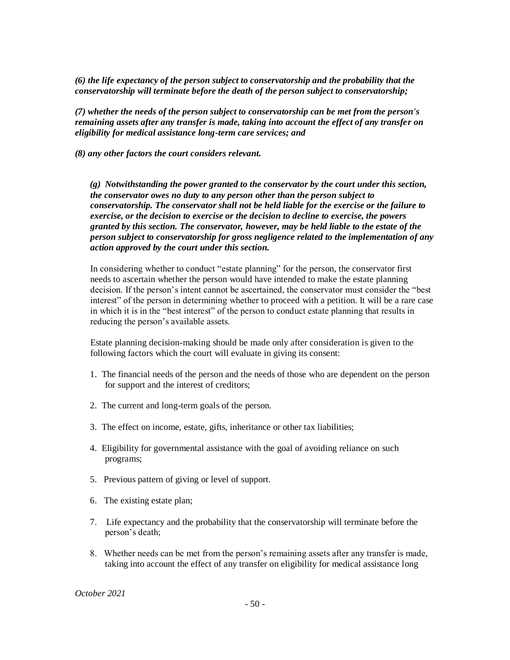*(6) the life expectancy of the person subject to conservatorship and the probability that the conservatorship will terminate before the death of the person subject to conservatorship;*

*(7) whether the needs of the person subject to conservatorship can be met from the person's remaining assets after any transfer is made, taking into account the effect of any transfer on eligibility for medical assistance long-term care services; and*

*(8) any other factors the court considers relevant.*

*(g) Notwithstanding the power granted to the conservator by the court under this section, the conservator owes no duty to any person other than the person subject to conservatorship. The conservator shall not be held liable for the exercise or the failure to exercise, or the decision to exercise or the decision to decline to exercise, the powers granted by this section. The conservator, however, may be held liable to the estate of the person subject to conservatorship for gross negligence related to the implementation of any action approved by the court under this section.*

In considering whether to conduct "estate planning" for the person, the conservator first needs to ascertain whether the person would have intended to make the estate planning decision. If the person's intent cannot be ascertained, the conservator must consider the "best interest" of the person in determining whether to proceed with a petition. It will be a rare case in which it is in the "best interest" of the person to conduct estate planning that results in reducing the person's available assets.

Estate planning decision-making should be made only after consideration is given to the following factors which the court will evaluate in giving its consent:

- 1. The financial needs of the person and the needs of those who are dependent on the person for support and the interest of creditors;
- 2. The current and long-term goals of the person.
- 3. The effect on income, estate, gifts, inheritance or other tax liabilities;
- 4. Eligibility for governmental assistance with the goal of avoiding reliance on such programs;
- 5. Previous pattern of giving or level of support.
- 6. The existing estate plan;
- 7. Life expectancy and the probability that the conservatorship will terminate before the person's death;
- 8. Whether needs can be met from the person's remaining assets after any transfer is made, taking into account the effect of any transfer on eligibility for medical assistance long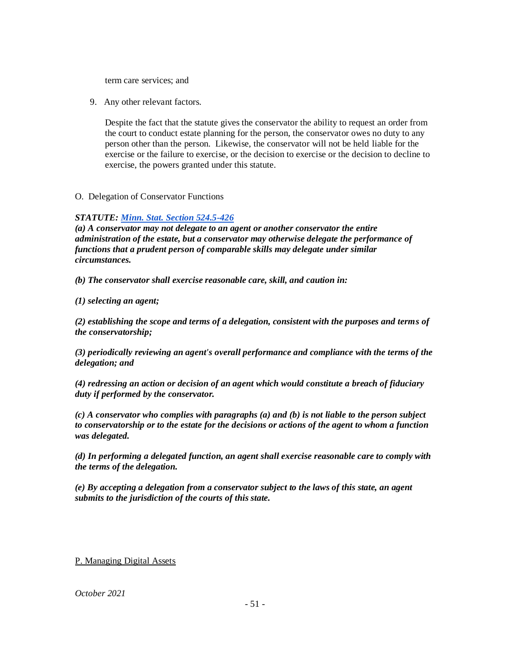term care services; and

9. Any other relevant factors.

Despite the fact that the statute gives the conservator the ability to request an order from the court to conduct estate planning for the person, the conservator owes no duty to any person other than the person. Likewise, the conservator will not be held liable for the exercise or the failure to exercise, or the decision to exercise or the decision to decline to exercise, the powers granted under this statute.

O. Delegation of Conservator Functions

*STATUTE: [Minn. Stat. Section 524.5-426](https://www.revisor.mn.gov/statutes/cite/524.5-426)* 

*(a) A conservator may not delegate to an agent or another conservator the entire administration of the estate, but a conservator may otherwise delegate the performance of functions that a prudent person of comparable skills may delegate under similar circumstances.*

*(b) The conservator shall exercise reasonable care, skill, and caution in:*

*(1) selecting an agent;*

*(2) establishing the scope and terms of a delegation, consistent with the purposes and terms of the conservatorship;*

*(3) periodically reviewing an agent's overall performance and compliance with the terms of the delegation; and*

*(4) redressing an action or decision of an agent which would constitute a breach of fiduciary duty if performed by the conservator.*

*(c) A conservator who complies with paragraphs (a) and (b) is not liable to the person subject to conservatorship or to the estate for the decisions or actions of the agent to whom a function was delegated.*

*(d) In performing a delegated function, an agent shall exercise reasonable care to comply with the terms of the delegation.*

*(e) By accepting a delegation from a conservator subject to the laws of this state, an agent submits to the jurisdiction of the courts of this state.*

P. Managing Digital Assets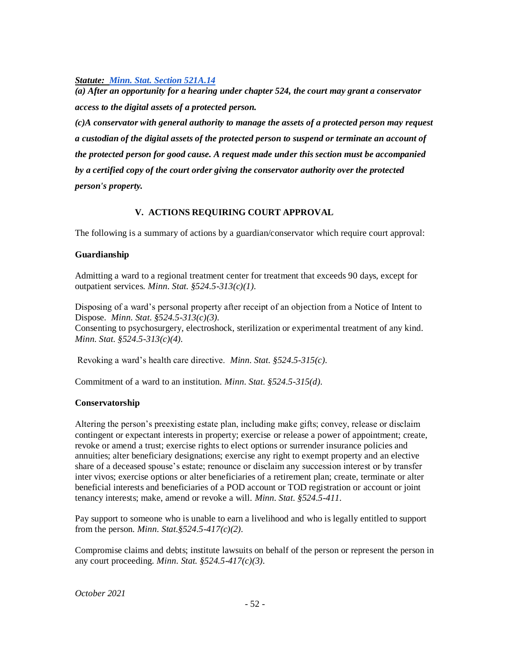*Statute: [Minn. Stat. Section 521A.14](https://www.revisor.mn.gov/statutes/cite/521A.14)*

*(a) After an opportunity for a hearing under chapter 524, the court may grant a conservator access to the digital assets of a protected person.*

*(c)A conservator with general authority to manage the assets of a protected person may request a custodian of the digital assets of the protected person to suspend or terminate an account of the protected person for good cause. A request made under this section must be accompanied by a certified copy of the court order giving the conservator authority over the protected person's property.*

#### **V. ACTIONS REQUIRING COURT APPROVAL**

The following is a summary of actions by a guardian/conservator which require court approval:

#### **Guardianship**

Admitting a ward to a regional treatment center for treatment that exceeds 90 days, except for outpatient services. *Minn. Stat. §524.5-313(c)(1).*

Disposing of a ward's personal property after receipt of an objection from a Notice of Intent to Dispose. *Minn. Stat. §524.5-313(c)(3).* Consenting to psychosurgery, electroshock, sterilization or experimental treatment of any kind. *Minn. Stat. §524.5-313(c)(4).*

Revoking a ward's health care directive. *Minn. Stat. §524.5-315(c).*

Commitment of a ward to an institution. *Minn. Stat. §524.5-315(d).*

#### **Conservatorship**

Altering the person's preexisting estate plan, including make gifts; convey, release or disclaim contingent or expectant interests in property; exercise or release a power of appointment; create, revoke or amend a trust; exercise rights to elect options or surrender insurance policies and annuities; alter beneficiary designations; exercise any right to exempt property and an elective share of a deceased spouse's estate; renounce or disclaim any succession interest or by transfer inter vivos; exercise options or alter beneficiaries of a retirement plan; create, terminate or alter beneficial interests and beneficiaries of a POD account or TOD registration or account or joint tenancy interests; make, amend or revoke a will. *Minn. Stat. §524.5-411.*

Pay support to someone who is unable to earn a livelihood and who is legally entitled to support from the person. *Minn. Stat.§524.5-417(c)(2).*

Compromise claims and debts; institute lawsuits on behalf of the person or represent the person in any court proceeding. *Minn. Stat. §524.5-417(c)(3).*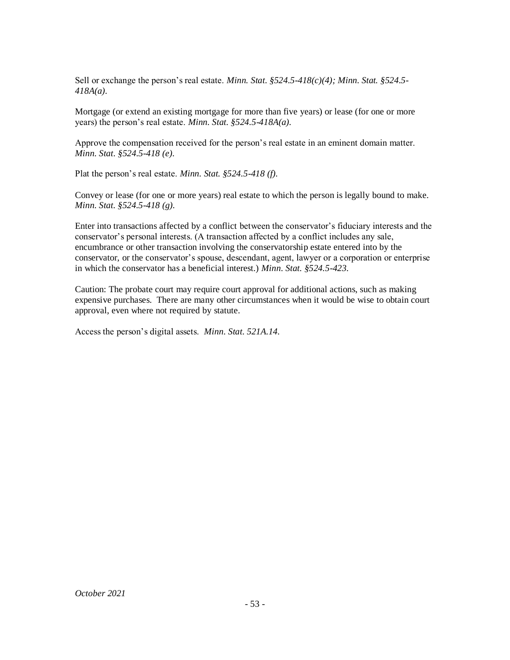Sell or exchange the person's real estate. *Minn. Stat. §524.5-418(c)(4); Minn. Stat. §524.5- 418A(a).*

Mortgage (or extend an existing mortgage for more than five years) or lease (for one or more years) the person's real estate. *Minn. Stat. §524.5-418A(a).*

Approve the compensation received for the person's real estate in an eminent domain matter. *Minn. Stat. §524.5-418 (e).*

Plat the person's real estate. *Minn. Stat. §524.5-418 (f).*

Convey or lease (for one or more years) real estate to which the person is legally bound to make. *Minn. Stat. §524.5-418 (g).*

Enter into transactions affected by a conflict between the conservator's fiduciary interests and the conservator's personal interests. (A transaction affected by a conflict includes any sale, encumbrance or other transaction involving the conservatorship estate entered into by the conservator, or the conservator's spouse, descendant, agent, lawyer or a corporation or enterprise in which the conservator has a beneficial interest.) *Minn. Stat. §524.5-423.*

Caution: The probate court may require court approval for additional actions, such as making expensive purchases. There are many other circumstances when it would be wise to obtain court approval, even where not required by statute.

Access the person's digital assets. *Minn. Stat. 521A.14.*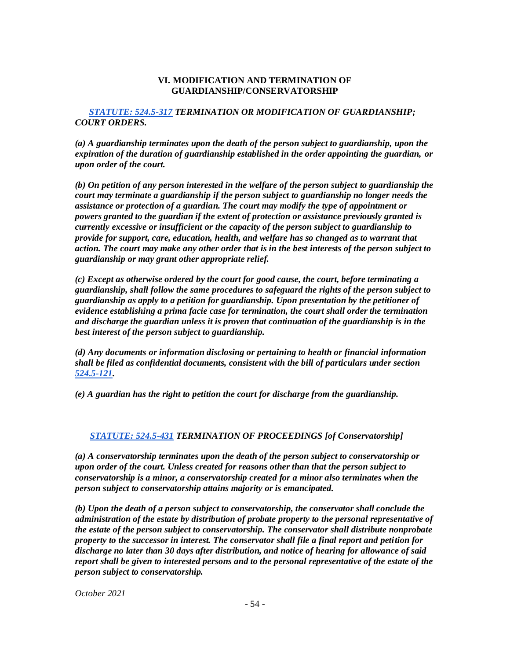#### **VI. MODIFICATION AND TERMINATION OF GUARDIANSHIP/CONSERVATORSHIP**

 *[STATUTE:](https://www.revisor.mn.gov/statutes/cite/524.5-317) [524.5-317](https://www.revisor.mn.gov/statutes/cite/524.5-317) TERMINATION OR MODIFICATION OF GUARDIANSHIP; COURT ORDERS.* 

*(a) A guardianship terminates upon the death of the person subject to guardianship, upon the expiration of the duration of guardianship established in the order appointing the guardian, or upon order of the court.*

*(b) On petition of any person interested in the welfare of the person subject to guardianship the court may terminate a guardianship if the person subject to guardianship no longer needs the assistance or protection of a guardian. The court may modify the type of appointment or powers granted to the guardian if the extent of protection or assistance previously granted is currently excessive or insufficient or the capacity of the person subject to guardianship to provide for support, care, education, health, and welfare has so changed as to warrant that action. The court may make any other order that is in the best interests of the person subject to guardianship or may grant other appropriate relief.*

*(c) Except as otherwise ordered by the court for good cause, the court, before terminating a guardianship, shall follow the same procedures to safeguard the rights of the person subject to guardianship as apply to a petition for guardianship. Upon presentation by the petitioner of evidence establishing a prima facie case for termination, the court shall order the termination and discharge the guardian unless it is proven that continuation of the guardianship is in the best interest of the person subject to guardianship.*

*(d) Any documents or information disclosing or pertaining to health or financial information shall be filed as confidential documents, consistent with the bill of particulars under sectio[n](https://www.revisor.mn.gov/statutes/cite/524.5-121) [524.5-121.](https://www.revisor.mn.gov/statutes/cite/524.5-121)*

*(e) A guardian has the right to petition the court for discharge from the guardianship.*

#### *[STATUTE: 524.5-431](https://www.revisor.mn.gov/statutes/2019/cite/524.5-431) TERMINATION OF PROCEEDINGS [of Conservatorship]*

*(a) A conservatorship terminates upon the death of the person subject to conservatorship or upon order of the court. Unless created for reasons other than that the person subject to conservatorship is a minor, a conservatorship created for a minor also terminates when the person subject to conservatorship attains majority or is emancipated.*

*(b) Upon the death of a person subject to conservatorship, the conservator shall conclude the administration of the estate by distribution of probate property to the personal representative of the estate of the person subject to conservatorship. The conservator shall distribute nonprobate property to the successor in interest. The conservator shall file a final report and petition for discharge no later than 30 days after distribution, and notice of hearing for allowance of said report shall be given to interested persons and to the personal representative of the estate of the person subject to conservatorship.*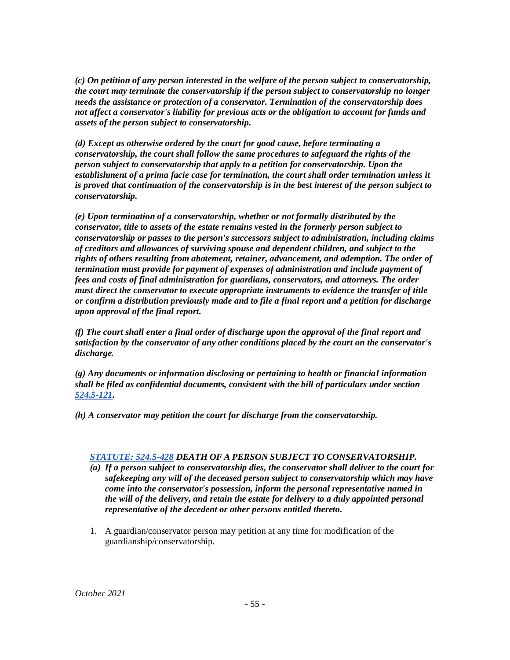*(c) On petition of any person interested in the welfare of the person subject to conservatorship, the court may terminate the conservatorship if the person subject to conservatorship no longer needs the assistance or protection of a conservator. Termination of the conservatorship does not affect a conservator's liability for previous acts or the obligation to account for funds and assets of the person subject to conservatorship.*

*(d) Except as otherwise ordered by the court for good cause, before terminating a conservatorship, the court shall follow the same procedures to safeguard the rights of the person subject to conservatorship that apply to a petition for conservatorship. Upon the establishment of a prima facie case for termination, the court shall order termination unless it is proved that continuation of the conservatorship is in the best interest of the person subject to conservatorship.*

*(e) Upon termination of a conservatorship, whether or not formally distributed by the conservator, title to assets of the estate remains vested in the formerly person subject to conservatorship or passes to the person's successors subject to administration, including claims of creditors and allowances of surviving spouse and dependent children, and subject to the rights of others resulting from abatement, retainer, advancement, and ademption. The order of termination must provide for payment of expenses of administration and include payment of fees and costs of final administration for guardians, conservators, and attorneys. The order must direct the conservator to execute appropriate instruments to evidence the transfer of title or confirm a distribution previously made and to file a final report and a petition for discharge upon approval of the final report.*

*(f) The court shall enter a final order of discharge upon the approval of the final report and satisfaction by the conservator of any other conditions placed by the court on the conservator's discharge.*

*(g) Any documents or information disclosing or pertaining to health or financial information shall be filed as confidential documents, consistent with the bill of particulars under sectio[n](https://www.revisor.mn.gov/statutes/cite/524.5-121) [524.5-121.](https://www.revisor.mn.gov/statutes/cite/524.5-121)*

*(h) A conservator may petition the court for discharge from the conservatorship.*

#### *[STATUTE: 524.5-428](https://www.revisor.mn.gov/statutes/cite/524.5-428) DEATH OF A PERSON SUBJECT TO CONSERVATORSHIP.*

*(a) If a person subject to conservatorship dies, the conservator shall deliver to the court for safekeeping any will of the deceased person subject to conservatorship which may have come into the conservator's possession, inform the personal representative named in the will of the delivery, and retain the estate for delivery to a duly appointed personal representative of the decedent or other persons entitled thereto.*

1. A guardian/conservator person may petition at any time for modification of the guardianship/conservatorship.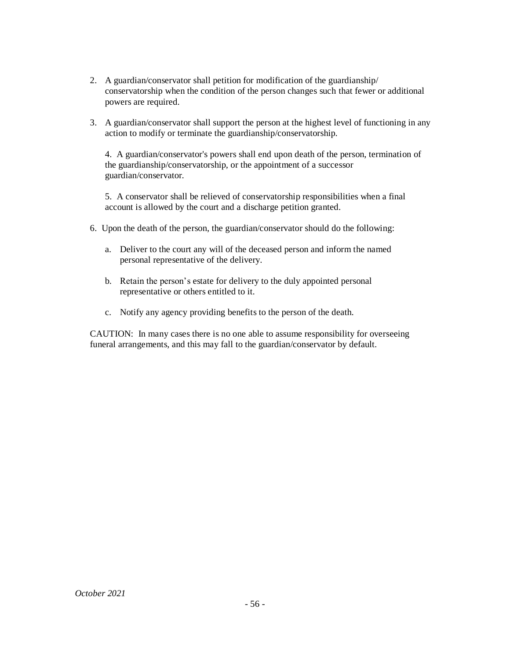- 2. A guardian/conservator shall petition for modification of the guardianship/ conservatorship when the condition of the person changes such that fewer or additional powers are required.
- 3. A guardian/conservator shall support the person at the highest level of functioning in any action to modify or terminate the guardianship/conservatorship.

4. A guardian/conservator's powers shall end upon death of the person, termination of the guardianship/conservatorship, or the appointment of a successor guardian/conservator.

5. A conservator shall be relieved of conservatorship responsibilities when a final account is allowed by the court and a discharge petition granted.

- 6. Upon the death of the person, the guardian/conservator should do the following:
	- a. Deliver to the court any will of the deceased person and inform the named personal representative of the delivery.
	- b. Retain the person's estate for delivery to the duly appointed personal representative or others entitled to it.
	- c. Notify any agency providing benefits to the person of the death.

CAUTION: In many cases there is no one able to assume responsibility for overseeing funeral arrangements, and this may fall to the guardian/conservator by default.